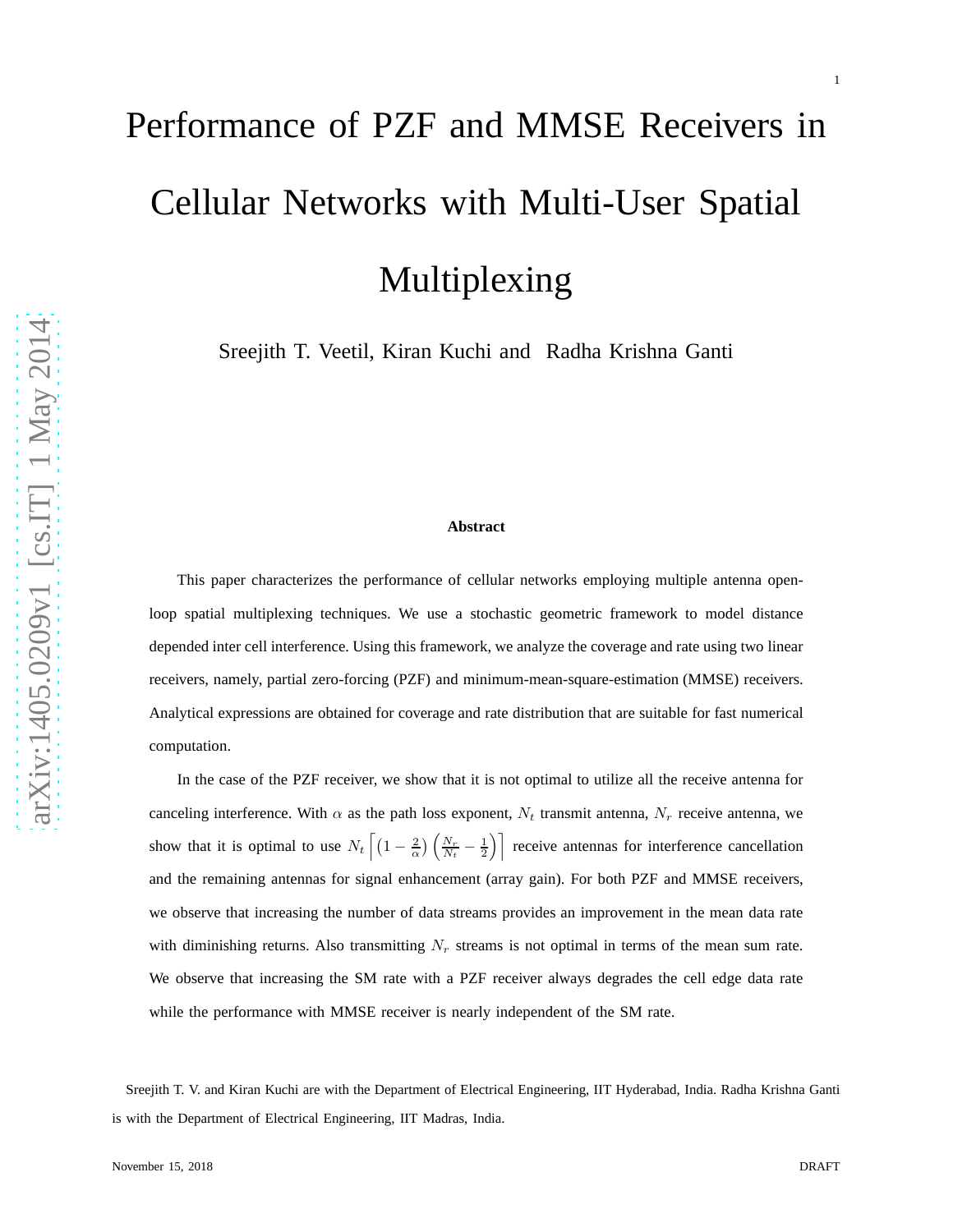# Performance of PZF and MMSE Receivers in Cellular Networks with Multi-User Spatial Multiplexing

Sreejith T. Veetil, Kiran Kuchi and Radha Krishna Ganti

#### **Abstract**

This paper characterizes the performance of cellular networks employing multiple antenna openloop spatial multiplexing techniques. We use a stochastic geometric framework to model distance depended inter cell interference. Using this framework, we analyze the coverage and rate using two linear receivers, namely, partial zero-forcing (PZF) and minimum-mean-square-estimation (MMSE) receivers. Analytical expressions are obtained for coverage and rate distribution that are suitable for fast numerical computation.

In the case of the PZF receiver, we show that it is not optimal to utilize all the receive antenna for canceling interference. With  $\alpha$  as the path loss exponent,  $N_t$  transmit antenna,  $N_r$  receive antenna, we show that it is optimal to use  $N_t \left[ \left(1 - \frac{2}{\alpha}\right) \left( \frac{N_r}{N_t} - \frac{1}{2} \right) \right]$  receive antennas for interference cancellation and the remaining antennas for signal enhancement (array gain). For both PZF and MMSE receivers, we observe that increasing the number of data streams provides an improvement in the mean data rate with diminishing returns. Also transmitting  $N_r$  streams is not optimal in terms of the mean sum rate. We observe that increasing the SM rate with a PZF receiver always degrades the cell edge data rate while the performance with MMSE receiver is nearly independent of the SM rate.

Sreejith T. V. and Kiran Kuchi are with the Department of Electrical Engineering, IIT Hyderabad, India. Radha Krishna Ganti is with the Department of Electrical Engineering, IIT Madras, India.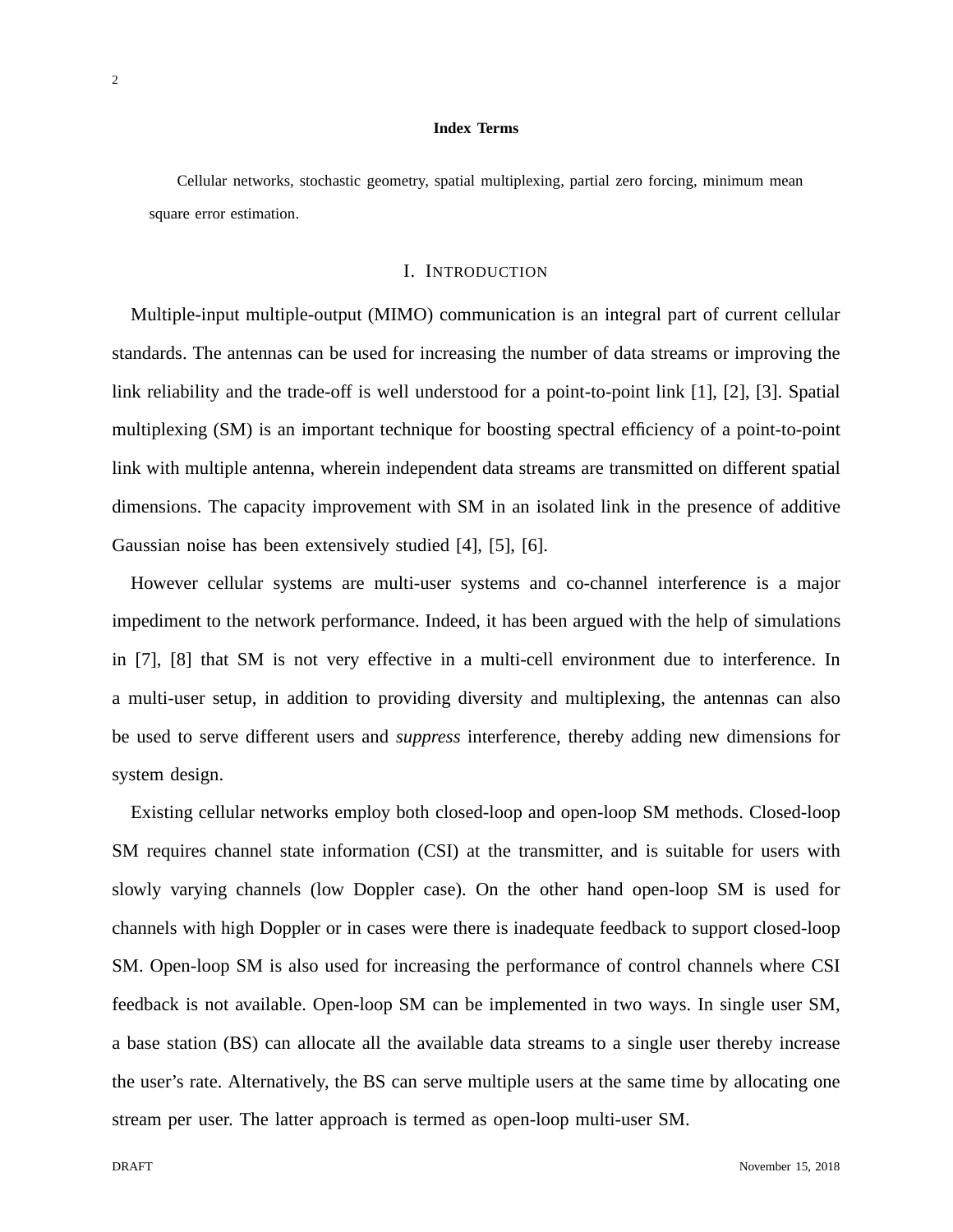#### **Index Terms**

Cellular networks, stochastic geometry, spatial multiplexing, partial zero forcing, minimum mean square error estimation.

## I. INTRODUCTION

Multiple-input multiple-output (MIMO) communication is an integral part of current cellular standards. The antennas can be used for increasing the number of data streams or improving the link reliability and the trade-off is well understood for a point-to-point link [1], [2], [3]. Spatial multiplexing (SM) is an important technique for boosting spectral efficiency of a point-to-point link with multiple antenna, wherein independent data streams are transmitted on different spatial dimensions. The capacity improvement with SM in an isolated link in the presence of additive Gaussian noise has been extensively studied [4], [5], [6].

However cellular systems are multi-user systems and co-channel interference is a major impediment to the network performance. Indeed, it has been argued with the help of simulations in [7], [8] that SM is not very effective in a multi-cell environment due to interference. In a multi-user setup, in addition to providing diversity and multiplexing, the antennas can also be used to serve different users and *suppress* interference, thereby adding new dimensions for system design.

Existing cellular networks employ both closed-loop and open-loop SM methods. Closed-loop SM requires channel state information (CSI) at the transmitter, and is suitable for users with slowly varying channels (low Doppler case). On the other hand open-loop SM is used for channels with high Doppler or in cases were there is inadequate feedback to support closed-loop SM. Open-loop SM is also used for increasing the performance of control channels where CSI feedback is not available. Open-loop SM can be implemented in two ways. In single user SM, a base station (BS) can allocate all the available data streams to a single user thereby increase the user's rate. Alternatively, the BS can serve multiple users at the same time by allocating one stream per user. The latter approach is termed as open-loop multi-user SM.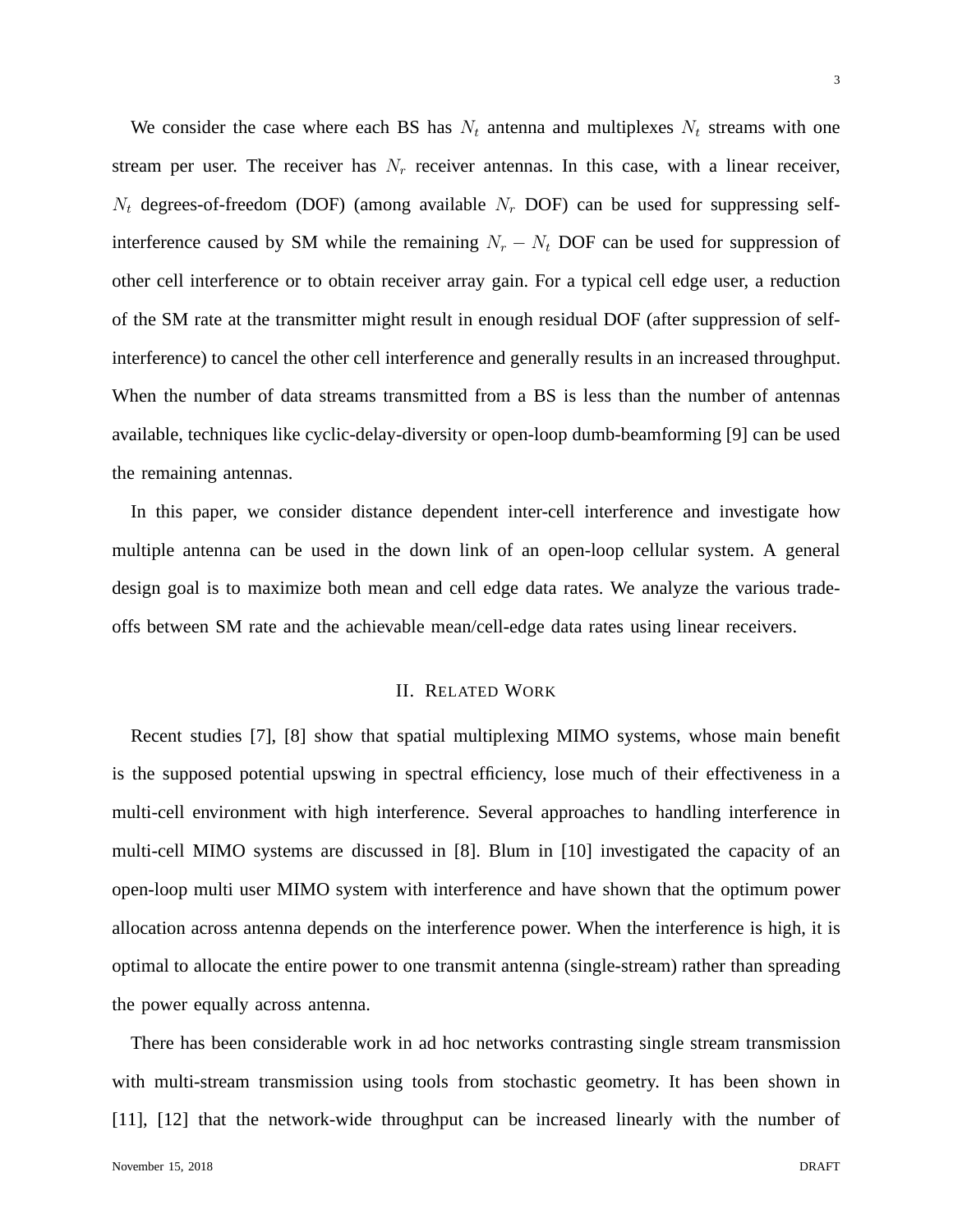We consider the case where each BS has  $N_t$  antenna and multiplexes  $N_t$  streams with one stream per user. The receiver has  $N_r$  receiver antennas. In this case, with a linear receiver,  $N_t$  degrees-of-freedom (DOF) (among available  $N_r$  DOF) can be used for suppressing selfinterference caused by SM while the remaining  $N_r - N_t$  DOF can be used for suppression of other cell interference or to obtain receiver array gain. For a typical cell edge user, a reduction of the SM rate at the transmitter might result in enough residual DOF (after suppression of selfinterference) to cancel the other cell interference and generally results in an increased throughput. When the number of data streams transmitted from a BS is less than the number of antennas available, techniques like cyclic-delay-diversity or open-loop dumb-beamforming [9] can be used the remaining antennas.

In this paper, we consider distance dependent inter-cell interference and investigate how multiple antenna can be used in the down link of an open-loop cellular system. A general design goal is to maximize both mean and cell edge data rates. We analyze the various tradeoffs between SM rate and the achievable mean/cell-edge data rates using linear receivers.

# II. RELATED WORK

Recent studies [7], [8] show that spatial multiplexing MIMO systems, whose main benefit is the supposed potential upswing in spectral efficiency, lose much of their effectiveness in a multi-cell environment with high interference. Several approaches to handling interference in multi-cell MIMO systems are discussed in [8]. Blum in [10] investigated the capacity of an open-loop multi user MIMO system with interference and have shown that the optimum power allocation across antenna depends on the interference power. When the interference is high, it is optimal to allocate the entire power to one transmit antenna (single-stream) rather than spreading the power equally across antenna.

There has been considerable work in ad hoc networks contrasting single stream transmission with multi-stream transmission using tools from stochastic geometry. It has been shown in [11], [12] that the network-wide throughput can be increased linearly with the number of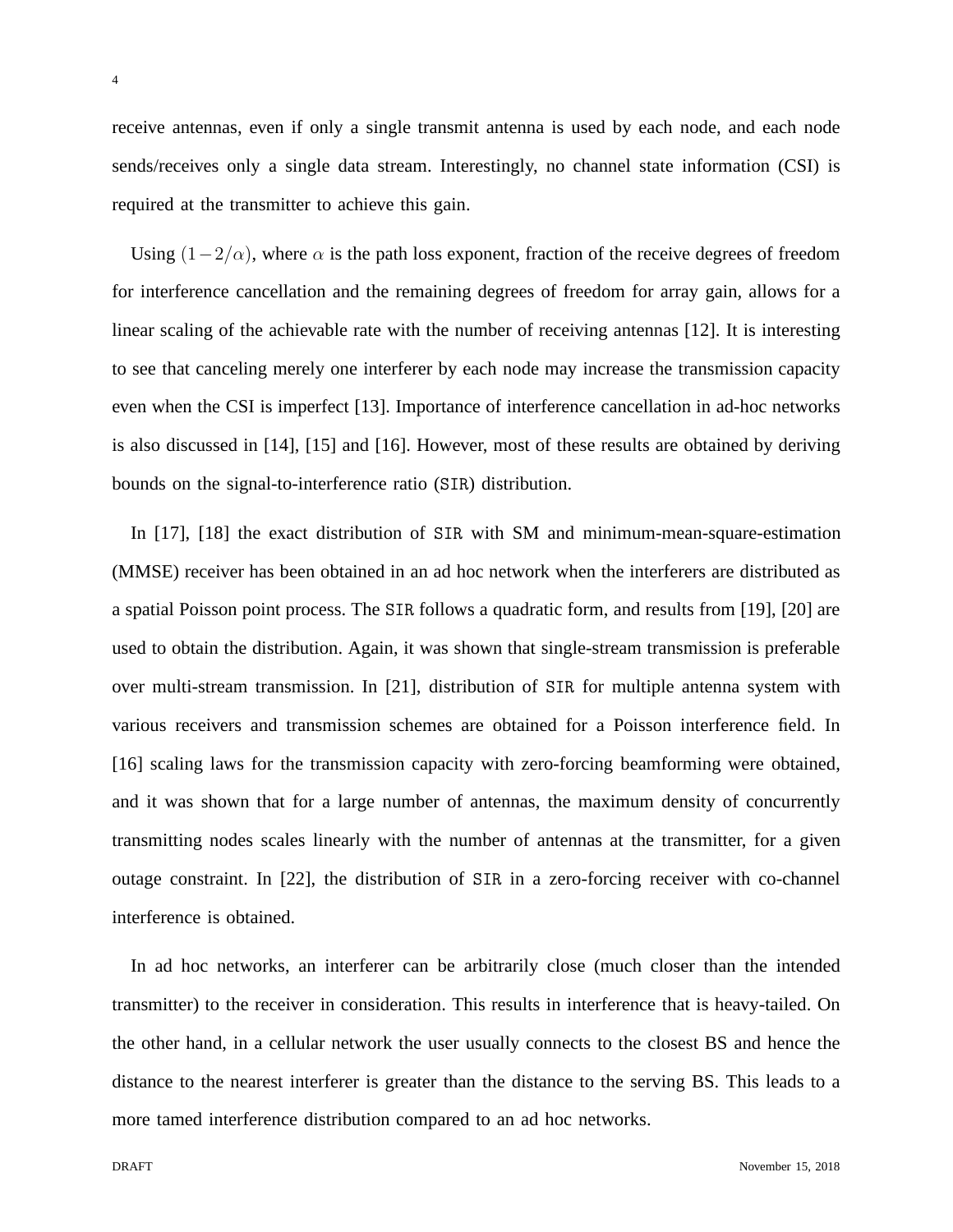receive antennas, even if only a single transmit antenna is used by each node, and each node sends/receives only a single data stream. Interestingly, no channel state information (CSI) is required at the transmitter to achieve this gain.

Using  $(1-2/\alpha)$ , where  $\alpha$  is the path loss exponent, fraction of the receive degrees of freedom for interference cancellation and the remaining degrees of freedom for array gain, allows for a linear scaling of the achievable rate with the number of receiving antennas [12]. It is interesting to see that canceling merely one interferer by each node may increase the transmission capacity even when the CSI is imperfect [13]. Importance of interference cancellation in ad-hoc networks is also discussed in [14], [15] and [16]. However, most of these results are obtained by deriving bounds on the signal-to-interference ratio (SIR) distribution.

In [17], [18] the exact distribution of SIR with SM and minimum-mean-square-estimation (MMSE) receiver has been obtained in an ad hoc network when the interferers are distributed as a spatial Poisson point process. The SIR follows a quadratic form, and results from [19], [20] are used to obtain the distribution. Again, it was shown that single-stream transmission is preferable over multi-stream transmission. In [21], distribution of SIR for multiple antenna system with various receivers and transmission schemes are obtained for a Poisson interference field. In [16] scaling laws for the transmission capacity with zero-forcing beamforming were obtained, and it was shown that for a large number of antennas, the maximum density of concurrently transmitting nodes scales linearly with the number of antennas at the transmitter, for a given outage constraint. In [22], the distribution of SIR in a zero-forcing receiver with co-channel interference is obtained.

In ad hoc networks, an interferer can be arbitrarily close (much closer than the intended transmitter) to the receiver in consideration. This results in interference that is heavy-tailed. On the other hand, in a cellular network the user usually connects to the closest BS and hence the distance to the nearest interferer is greater than the distance to the serving BS. This leads to a more tamed interference distribution compared to an ad hoc networks.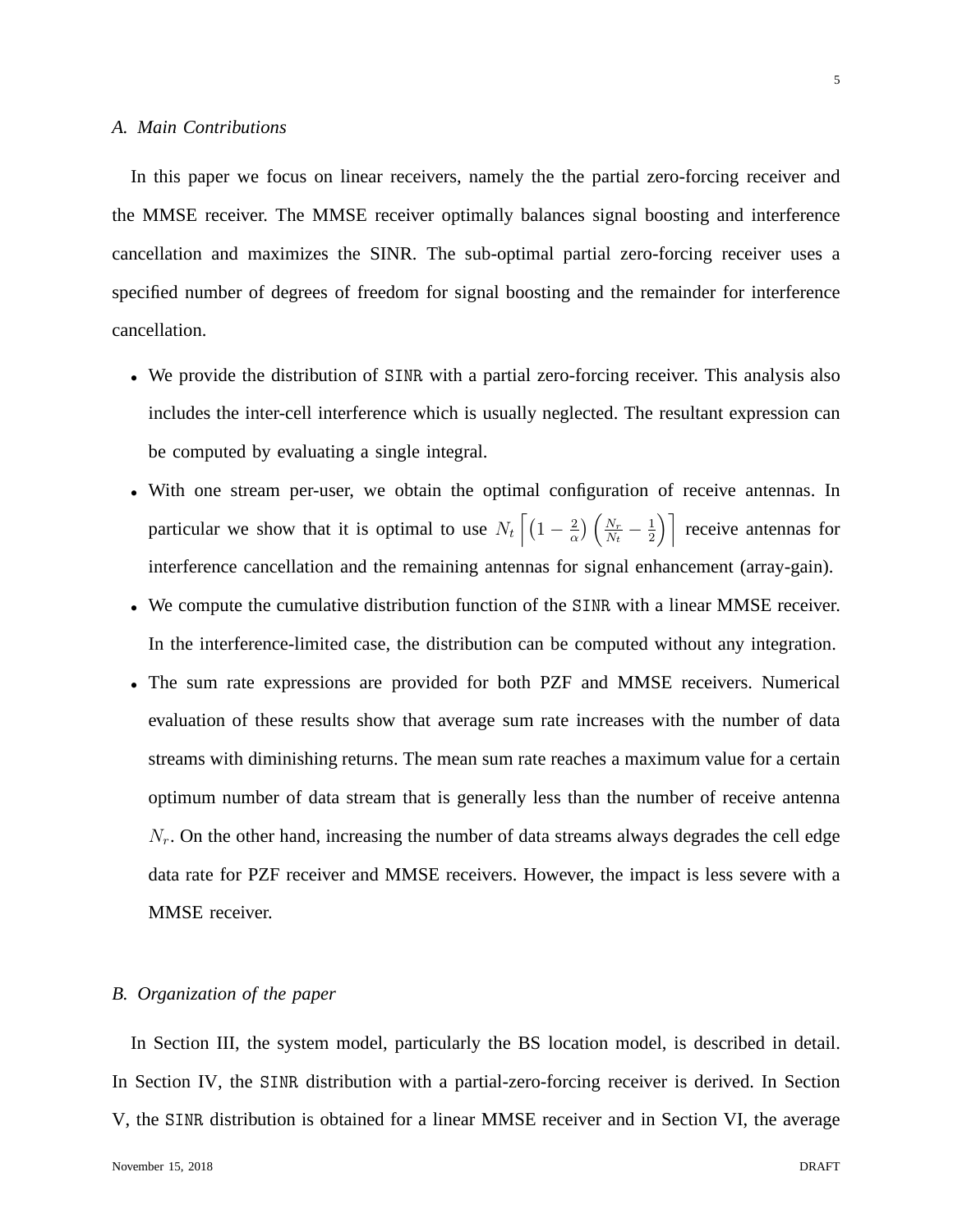In this paper we focus on linear receivers, namely the the partial zero-forcing receiver and the MMSE receiver. The MMSE receiver optimally balances signal boosting and interference cancellation and maximizes the SINR. The sub-optimal partial zero-forcing receiver uses a specified number of degrees of freedom for signal boosting and the remainder for interference cancellation.

- We provide the distribution of SINR with a partial zero-forcing receiver. This analysis also includes the inter-cell interference which is usually neglected. The resultant expression can be computed by evaluating a single integral.
- With one stream per-user, we obtain the optimal configuration of receive antennas. In particular we show that it is optimal to use  $N_t \left[ \left(1 - \frac{2}{\alpha} \right)$  $\frac{2}{\alpha}$ )  $\left(\frac{N_r}{N_t}\right)$  $\frac{N_r}{N_t}-\frac{1}{2}$  $\left(\frac{1}{2}\right)$  receive antennas for interference cancellation and the remaining antennas for signal enhancement (array-gain).
- We compute the cumulative distribution function of the SINR with a linear MMSE receiver. In the interference-limited case, the distribution can be computed without any integration.
- The sum rate expressions are provided for both PZF and MMSE receivers. Numerical evaluation of these results show that average sum rate increases with the number of data streams with diminishing returns. The mean sum rate reaches a maximum value for a certain optimum number of data stream that is generally less than the number of receive antenna  $N_r$ . On the other hand, increasing the number of data streams always degrades the cell edge data rate for PZF receiver and MMSE receivers. However, the impact is less severe with a MMSE receiver.

## *B. Organization of the paper*

In Section III, the system model, particularly the BS location model, is described in detail. In Section IV, the SINR distribution with a partial-zero-forcing receiver is derived. In Section V, the SINR distribution is obtained for a linear MMSE receiver and in Section VI, the average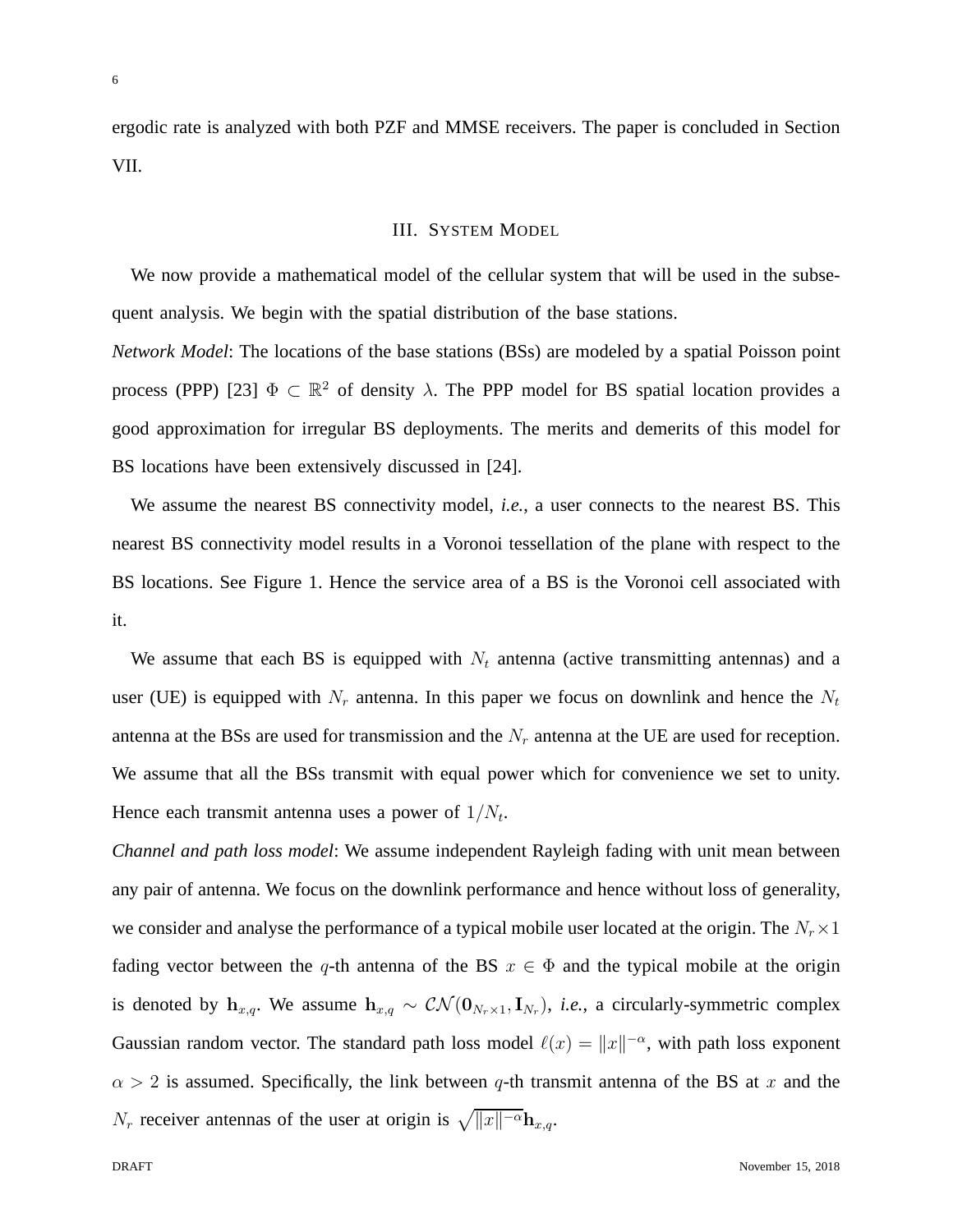ergodic rate is analyzed with both PZF and MMSE receivers. The paper is concluded in Section VII.

## III. SYSTEM MODEL

We now provide a mathematical model of the cellular system that will be used in the subsequent analysis. We begin with the spatial distribution of the base stations.

*Network Model*: The locations of the base stations (BSs) are modeled by a spatial Poisson point process (PPP) [23]  $\Phi \subset \mathbb{R}^2$  of density  $\lambda$ . The PPP model for BS spatial location provides a good approximation for irregular BS deployments. The merits and demerits of this model for BS locations have been extensively discussed in [24].

We assume the nearest BS connectivity model, *i.e.*, a user connects to the nearest BS. This nearest BS connectivity model results in a Voronoi tessellation of the plane with respect to the BS locations. See Figure 1. Hence the service area of a BS is the Voronoi cell associated with it.

We assume that each BS is equipped with  $N_t$  antenna (active transmitting antennas) and a user (UE) is equipped with  $N_r$  antenna. In this paper we focus on downlink and hence the  $N_t$ antenna at the BSs are used for transmission and the  $N_r$  antenna at the UE are used for reception. We assume that all the BSs transmit with equal power which for convenience we set to unity. Hence each transmit antenna uses a power of  $1/N_t$ .

*Channel and path loss model*: We assume independent Rayleigh fading with unit mean between any pair of antenna. We focus on the downlink performance and hence without loss of generality, we consider and analyse the performance of a typical mobile user located at the origin. The  $N_r \times 1$ fading vector between the q-th antenna of the BS  $x \in \Phi$  and the typical mobile at the origin is denoted by  $h_{x,q}$ . We assume  $h_{x,q} \sim \mathcal{CN}(\mathbf{0}_{N_r \times 1}, \mathbf{I}_{N_r})$ , *i.e.*, a circularly-symmetric complex Gaussian random vector. The standard path loss model  $\ell(x) = ||x||^{-\alpha}$ , with path loss exponent  $\alpha > 2$  is assumed. Specifically, the link between q-th transmit antenna of the BS at x and the  $N_r$  receiver antennas of the user at origin is  $\sqrt{||x||^{-\alpha}}$ **h**<sub>x,q</sub>.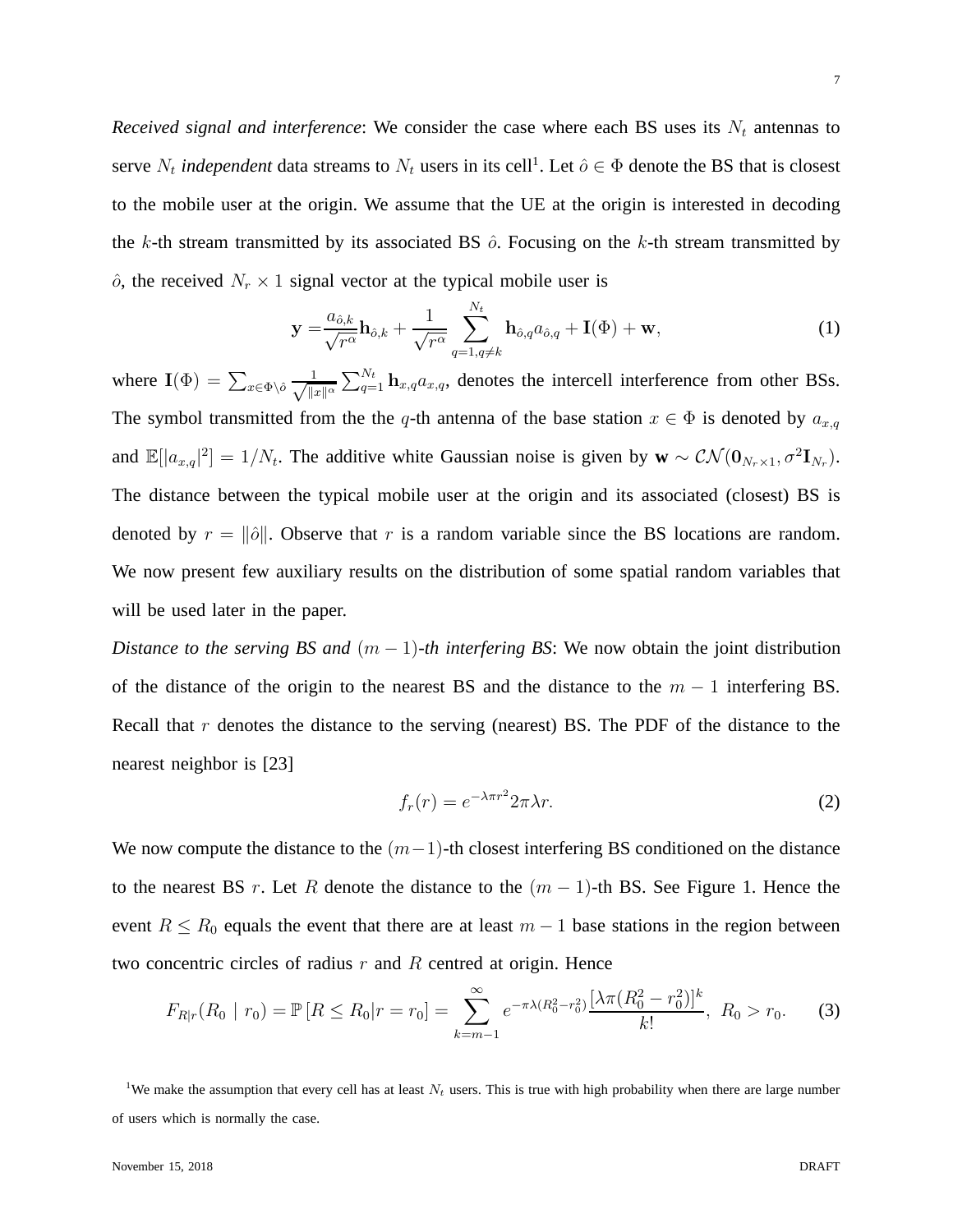$\hat{o}$ , the received  $N_r \times 1$  signal vector at the typical mobile user is

$$
\mathbf{y} = \frac{a_{\hat{o},k}}{\sqrt{r^{\alpha}}}\mathbf{h}_{\hat{o},k} + \frac{1}{\sqrt{r^{\alpha}}}\sum_{q=1,q\neq k}^{N_t} \mathbf{h}_{\hat{o},q}a_{\hat{o},q} + \mathbf{I}(\Phi) + \mathbf{w},\tag{1}
$$

where  $\mathbf{I}(\Phi) = \sum_{x \in \Phi \setminus \hat{o}} \frac{1}{\sqrt{\|\mathbf{a}\|}}$  $||x||^{\alpha}$  $\sum_{q=1}^{N_t}$  **h**<sub>x,q</sub>a<sub>x,q</sub>, denotes the intercell interference from other BSs. The symbol transmitted from the the q-th antenna of the base station  $x \in \Phi$  is denoted by  $a_{x,q}$ and  $\mathbb{E}[|a_{x,q}|^2] = 1/N_t$ . The additive white Gaussian noise is given by  $\mathbf{w} \sim \mathcal{CN}(\mathbf{0}_{N_r \times 1}, \sigma^2 \mathbf{I}_{N_r})$ . The distance between the typical mobile user at the origin and its associated (closest) BS is denoted by  $r = ||\hat{o}||$ . Observe that r is a random variable since the BS locations are random. We now present few auxiliary results on the distribution of some spatial random variables that will be used later in the paper.

*Distance to the serving BS and*  $(m - 1)$ -th interfering BS: We now obtain the joint distribution of the distance of the origin to the nearest BS and the distance to the  $m - 1$  interfering BS. Recall that  $r$  denotes the distance to the serving (nearest) BS. The PDF of the distance to the nearest neighbor is [23]

$$
f_r(r) = e^{-\lambda \pi r^2} 2\pi \lambda r.
$$
 (2)

We now compute the distance to the  $(m-1)$ -th closest interfering BS conditioned on the distance to the nearest BS r. Let R denote the distance to the  $(m - 1)$ -th BS. See Figure 1. Hence the event  $R \le R_0$  equals the event that there are at least  $m-1$  base stations in the region between two concentric circles of radius  $r$  and  $R$  centred at origin. Hence

$$
F_{R|r}(R_0 | r_0) = \mathbb{P}\left[R \le R_0 | r = r_0\right] = \sum_{k=m-1}^{\infty} e^{-\pi \lambda (R_0^2 - r_0^2)} \frac{\left[\lambda \pi (R_0^2 - r_0^2)\right]^k}{k!}, \ R_0 > r_0. \tag{3}
$$

<sup>1</sup>We make the assumption that every cell has at least  $N_t$  users. This is true with high probability when there are large number of users which is normally the case.

7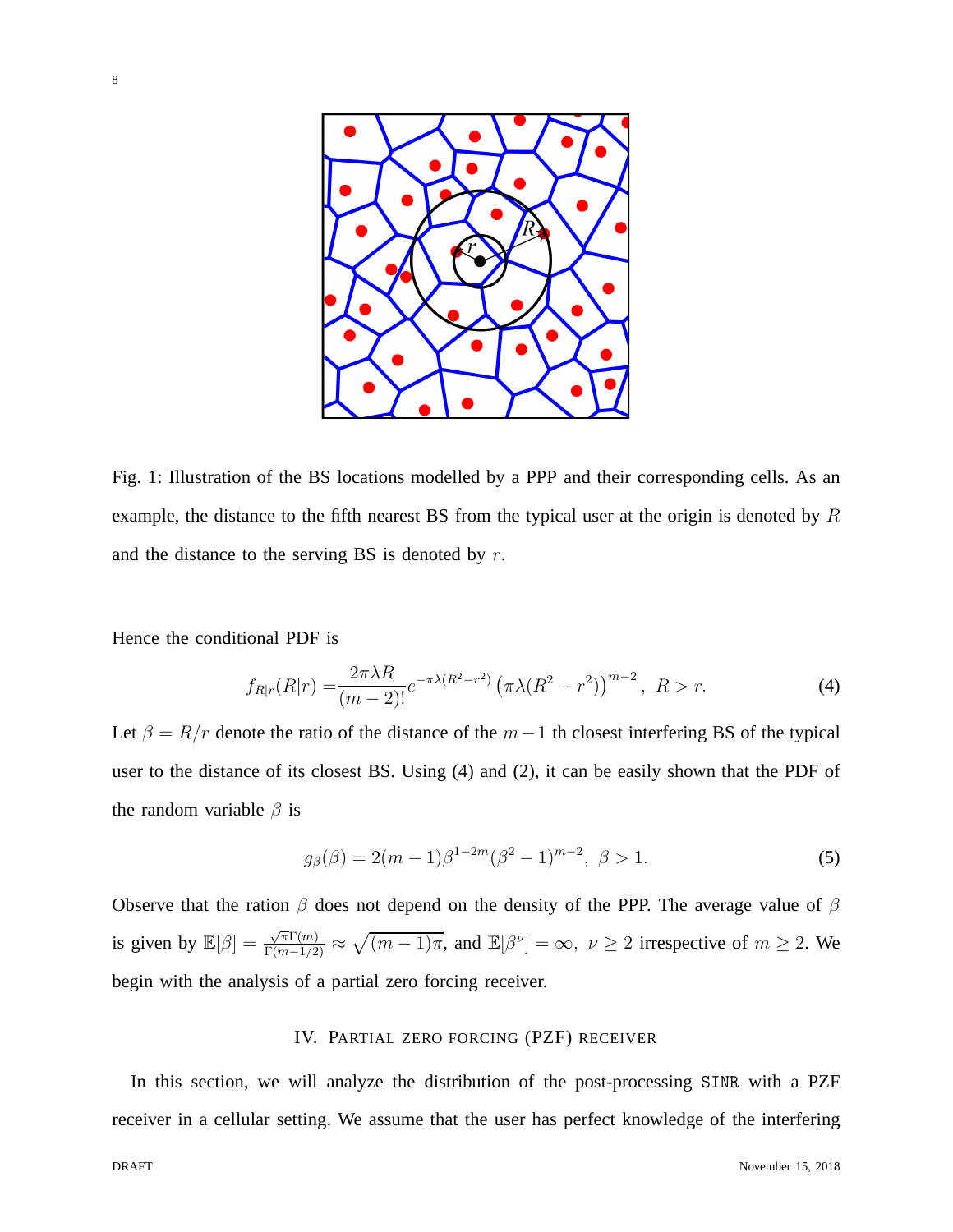

Fig. 1: Illustration of the BS locations modelled by a PPP and their corresponding cells. As an example, the distance to the fifth nearest BS from the typical user at the origin is denoted by R and the distance to the serving BS is denoted by  $r$ .

Hence the conditional PDF is

$$
f_{R|r}(R|r) = \frac{2\pi\lambda R}{(m-2)!}e^{-\pi\lambda(R^2 - r^2)}\left(\pi\lambda(R^2 - r^2)\right)^{m-2}, \ R > r.
$$
 (4)

Let  $\beta = R/r$  denote the ratio of the distance of the  $m-1$  th closest interfering BS of the typical user to the distance of its closest BS. Using (4) and (2), it can be easily shown that the PDF of the random variable  $\beta$  is

$$
g_{\beta}(\beta) = 2(m-1)\beta^{1-2m}(\beta^2 - 1)^{m-2}, \ \beta > 1.
$$
 (5)

Observe that the ration  $\beta$  does not depend on the density of the PPP. The average value of  $\beta$ is given by  $\mathbb{E}[\beta] = \frac{\sqrt{\pi} \Gamma(m)}{\Gamma(m-1/2)} \approx \sqrt{(m-1)\pi}$ , and  $\mathbb{E}[\beta^{\nu}] = \infty$ ,  $\nu \geq 2$  irrespective of  $m \geq 2$ . We begin with the analysis of a partial zero forcing receiver.

#### IV. PARTIAL ZERO FORCING (PZF) RECEIVER

In this section, we will analyze the distribution of the post-processing SINR with a PZF receiver in a cellular setting. We assume that the user has perfect knowledge of the interfering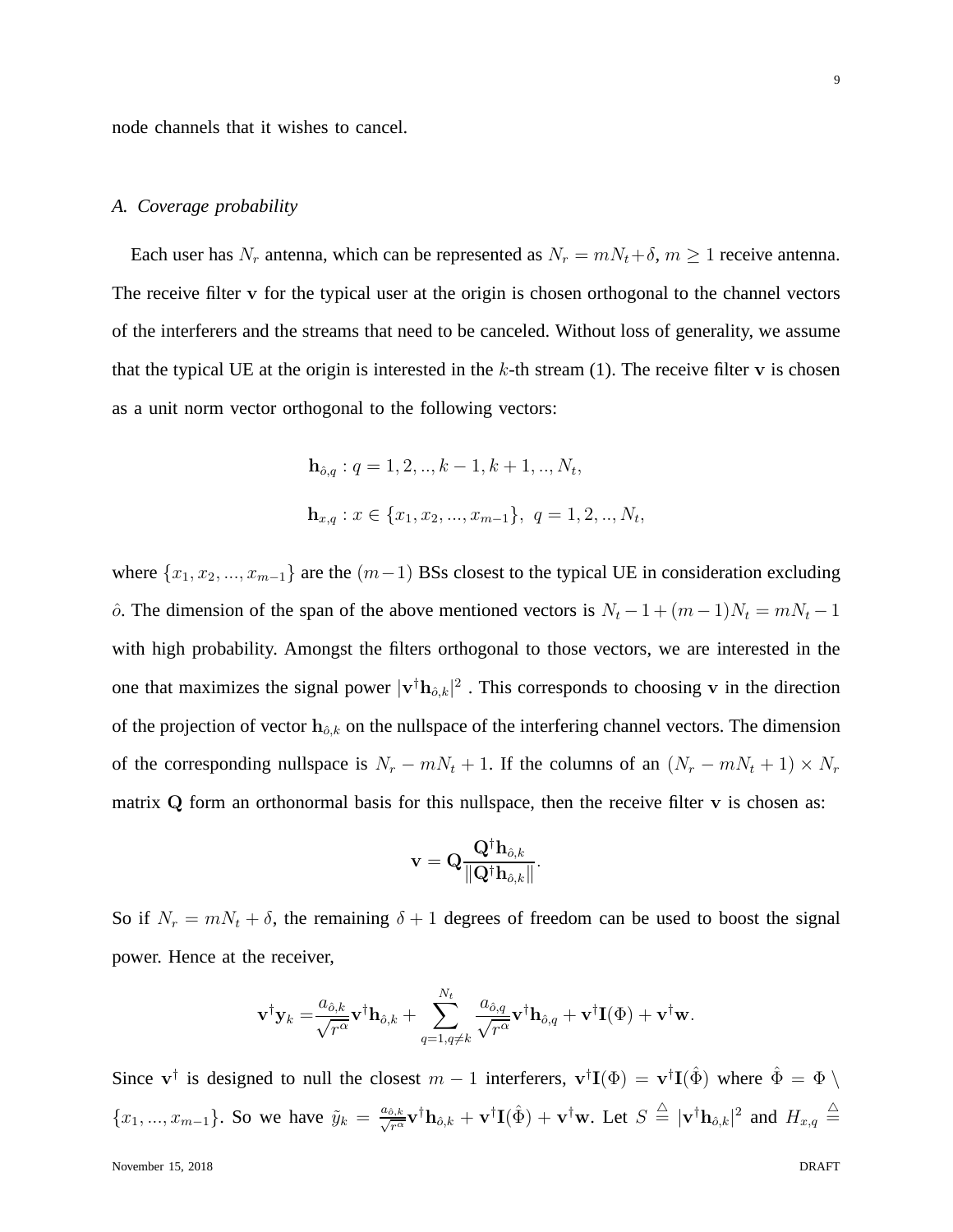node channels that it wishes to cancel.

## *A. Coverage probability*

Each user has  $N_r$  antenna, which can be represented as  $N_r = mN_t + \delta$ ,  $m \ge 1$  receive antenna. The receive filter v for the typical user at the origin is chosen orthogonal to the channel vectors of the interferers and the streams that need to be canceled. Without loss of generality, we assume that the typical UE at the origin is interested in the  $k$ -th stream (1). The receive filter v is chosen as a unit norm vector orthogonal to the following vectors:

$$
\mathbf{h}_{\hat{o},q} : q = 1, 2, ..., k - 1, k + 1, ..., N_t,
$$
  

$$
\mathbf{h}_{x,q} : x \in \{x_1, x_2, ..., x_{m-1}\}, q = 1, 2, ..., N_t,
$$

where  $\{x_1, x_2, ..., x_{m-1}\}$  are the  $(m-1)$  BSs closest to the typical UE in consideration excluding  $\hat{\rho}$ . The dimension of the span of the above mentioned vectors is  $N_t - 1 + (m - 1)N_t = mN_t - 1$ with high probability. Amongst the filters orthogonal to those vectors, we are interested in the one that maximizes the signal power  $|v^\dagger h_{\delta,k}|^2$ . This corresponds to choosing v in the direction of the projection of vector  $h_{\hat{o},k}$  on the nullspace of the interfering channel vectors. The dimension of the corresponding nullspace is  $N_r - mN_t + 1$ . If the columns of an  $(N_r - mN_t + 1) \times N_r$ matrix  $Q$  form an orthonormal basis for this nullspace, then the receive filter  $v$  is chosen as:

$$
\mathbf{v} = \mathbf{Q} \frac{\mathbf{Q}^{\dagger} \mathbf{h}_{\hat{o},k}}{\|\mathbf{Q}^{\dagger} \mathbf{h}_{\hat{o},k}\|}.
$$

So if  $N_r = mN_t + \delta$ , the remaining  $\delta + 1$  degrees of freedom can be used to boost the signal power. Hence at the receiver,

$$
\mathbf{v}^{\dagger} \mathbf{y}_k = \frac{a_{\hat{o},k}}{\sqrt{r^{\alpha}}} \mathbf{v}^{\dagger} \mathbf{h}_{\hat{o},k} + \sum_{q=1,q \neq k}^{N_t} \frac{a_{\hat{o},q}}{\sqrt{r^{\alpha}}} \mathbf{v}^{\dagger} \mathbf{h}_{\hat{o},q} + \mathbf{v}^{\dagger} \mathbf{I}(\Phi) + \mathbf{v}^{\dagger} \mathbf{w}.
$$

Since  $v^{\dagger}$  is designed to null the closest  $m-1$  interferers,  $v^{\dagger}I(\Phi) = v^{\dagger}I(\hat{\Phi})$  where  $\hat{\Phi} = \Phi \setminus \Phi$  $\{x_1, ..., x_{m-1}\}\$ . So we have  $\tilde{y}_k = \frac{a_{\hat{\theta},k}}{\sqrt{r^{\alpha}}} \mathbf{v}^{\dagger} \mathbf{h}_{\hat{\theta},k} + \mathbf{v}^{\dagger} \mathbf{I}(\hat{\Phi}) + \mathbf{v}^{\dagger} \mathbf{w}$ . Let  $S \triangleq |\mathbf{v}^{\dagger} \mathbf{h}_{\hat{\theta},k}|^2$  and  $H_{x,q} \triangleq$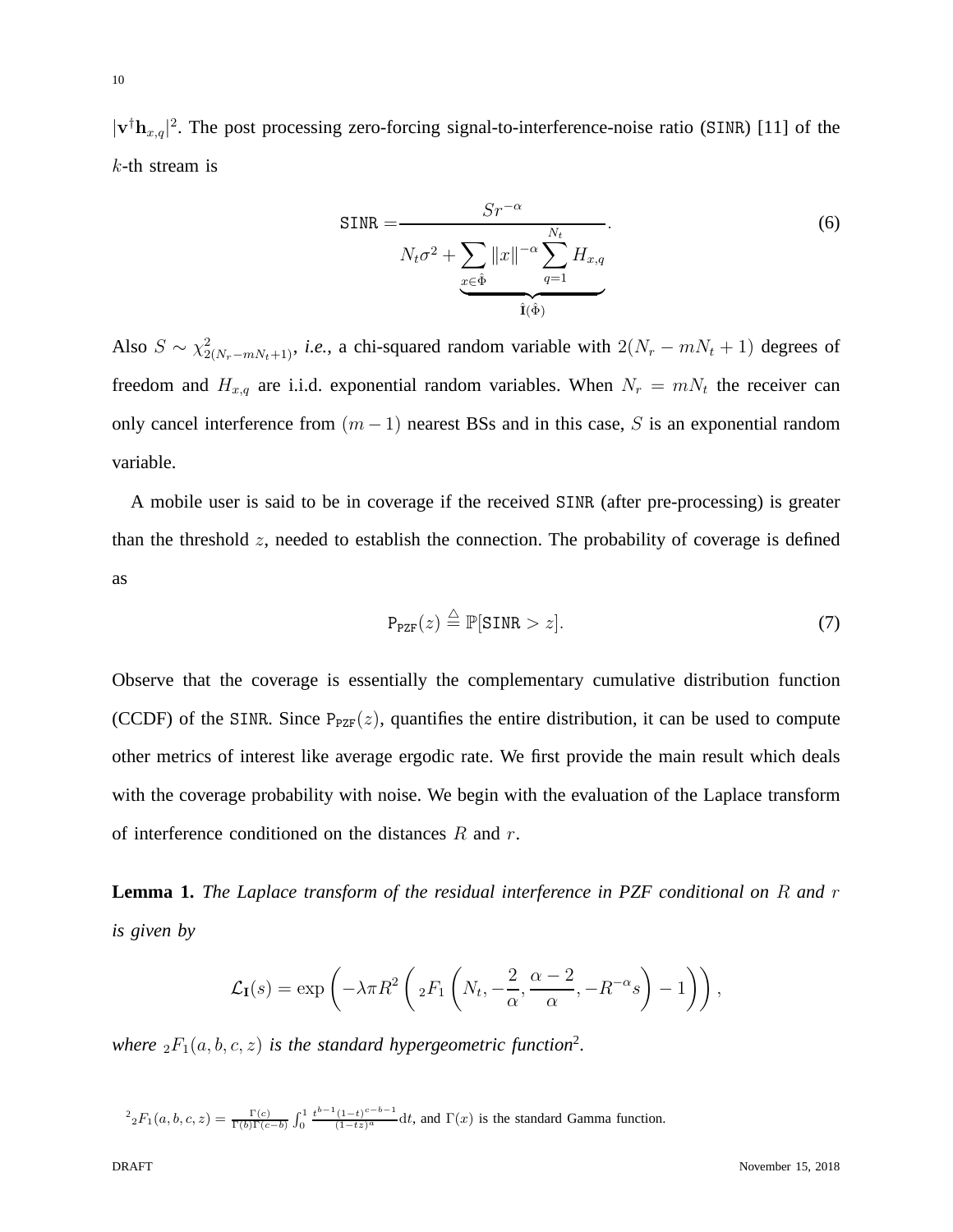$|\mathbf{v}^\dagger \mathbf{h}_{x,q}|^2$ . The post processing zero-forcing signal-to-interference-noise ratio (SINR) [11] of the  $k$ -th stream is

$$
SINR = \frac{Sr^{-\alpha}}{N_t \sigma^2 + \sum_{x \in \hat{\Phi}} ||x||^{-\alpha} \sum_{q=1}^{N_t} H_{x,q}}.
$$
\n(6)

Also  $S \sim \chi^2_{2(N_r-mN_t+1)}$ , *i.e.*, a chi-squared random variable with  $2(N_r - mN_t + 1)$  degrees of freedom and  $H_{x,q}$  are i.i.d. exponential random variables. When  $N_r = mN_t$  the receiver can only cancel interference from  $(m-1)$  nearest BSs and in this case, S is an exponential random variable.

A mobile user is said to be in coverage if the received SINR (after pre-processing) is greater than the threshold  $z$ , needed to establish the connection. The probability of coverage is defined as

$$
P_{PZF}(z) \stackrel{\triangle}{=} \mathbb{P}[SINR > z]. \tag{7}
$$

Observe that the coverage is essentially the complementary cumulative distribution function (CCDF) of the SINR. Since  $P_{PZF}(z)$ , quantifies the entire distribution, it can be used to compute other metrics of interest like average ergodic rate. We first provide the main result which deals with the coverage probability with noise. We begin with the evaluation of the Laplace transform of interference conditioned on the distances  $R$  and  $r$ .

**Lemma 1.** *The Laplace transform of the residual interference in PZF conditional on* R *and* r *is given by*

$$
\mathcal{L}_{\mathbf{I}}(s) = \exp\left(-\lambda \pi R^2 \left( {}_2F_1\left(N_t, -\frac{2}{\alpha}, \frac{\alpha-2}{\alpha}, -R^{-\alpha}s\right) - 1\right)\right),\,
$$

where  ${}_2F_1(a, b, c, z)$  is the standard hypergeometric function<sup>2</sup>.

 $\mathcal{L}^2_2 F_1(a, b, c, z) = \frac{\Gamma(c)}{\Gamma(b)\Gamma(c-b)} \int_0^1 \frac{t^{b-1}(1-t)^{c-b-1}}{(1-tz)^a} dt$ , and  $\Gamma(x)$  is the standard Gamma function.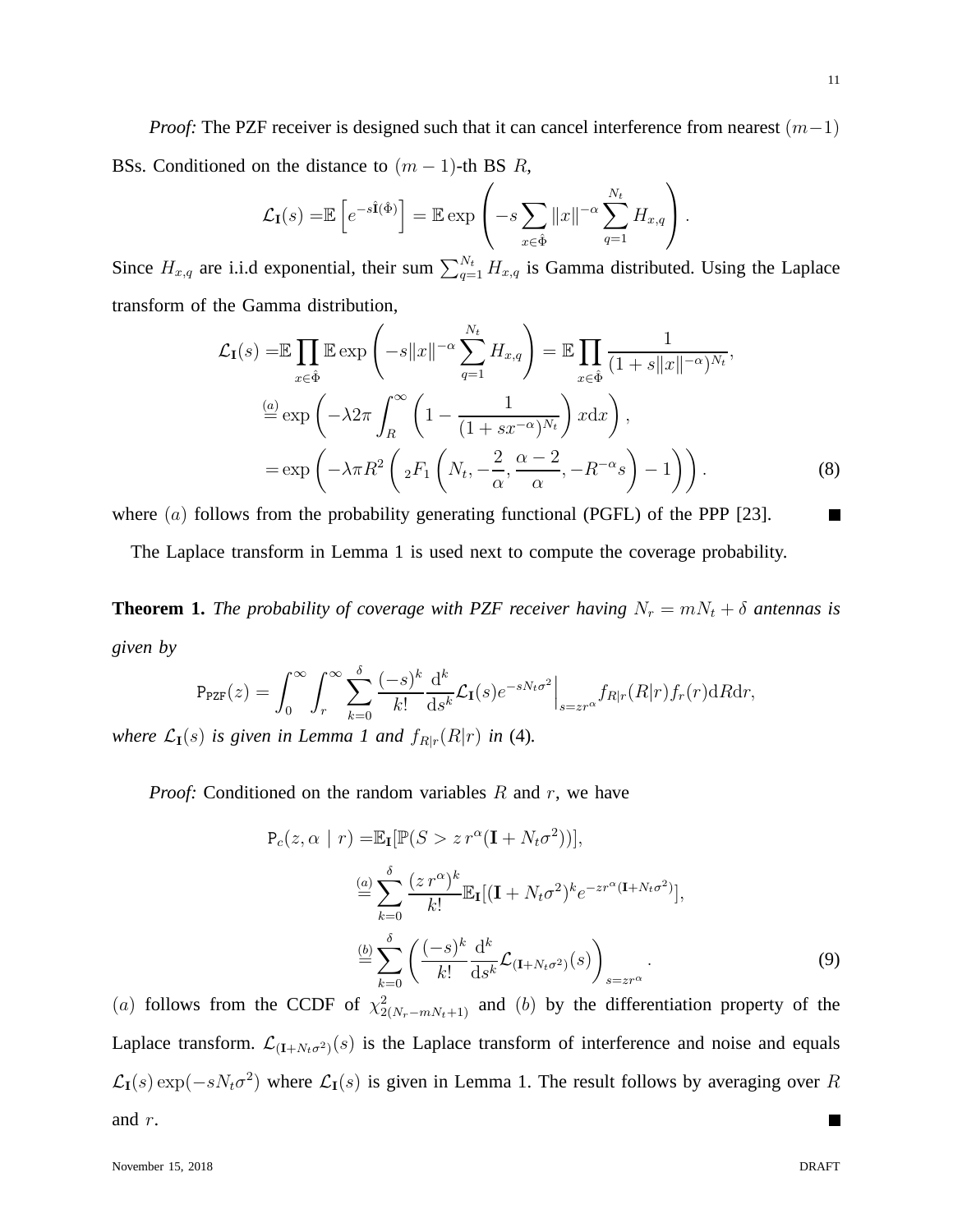*Proof:* The PZF receiver is designed such that it can cancel interference from nearest (m−1) BSs. Conditioned on the distance to  $(m - 1)$ -th BS R,

$$
\mathcal{L}_{\mathbf{I}}(s) = \mathbb{E}\left[e^{-s\hat{\mathbf{I}}(\hat{\Phi})}\right] = \mathbb{E}\exp\left(-s\sum_{x \in \hat{\Phi}} \|x\|^{-\alpha} \sum_{q=1}^{N_t} H_{x,q}\right).
$$

Since  $H_{x,q}$  are i.i.d exponential, their sum  $\sum_{q=1}^{N_t} H_{x,q}$  is Gamma distributed. Using the Laplace transform of the Gamma distribution,

$$
\mathcal{L}_{\mathbf{I}}(s) = \mathbb{E} \prod_{x \in \hat{\Phi}} \mathbb{E} \exp \left( -s \|x\|^{-\alpha} \sum_{q=1}^{N_t} H_{x,q} \right) = \mathbb{E} \prod_{x \in \hat{\Phi}} \frac{1}{(1 + s \|x\|^{-\alpha})^{N_t}},
$$
  
\n
$$
\stackrel{(a)}{=} \exp \left( -\lambda 2\pi \int_R^{\infty} \left( 1 - \frac{1}{(1 + sx^{-\alpha})^{N_t}} \right) x \, dx \right),
$$
  
\n
$$
= \exp \left( -\lambda \pi R^2 \left( 2F_1 \left( N_t, -\frac{2}{\alpha}, \frac{\alpha - 2}{\alpha}, -R^{-\alpha} s \right) - 1 \right) \right).
$$
\n(8)

where  $(a)$  follows from the probability generating functional (PGFL) of the PPP [23].

The Laplace transform in Lemma 1 is used next to compute the coverage probability.

**Theorem 1.** *The probability of coverage with PZF receiver having*  $N_r = mN_t + \delta$  *antennas is given by*

$$
P_{PZF}(z) = \int_0^\infty \int_r^\infty \sum_{k=0}^\delta \frac{(-s)^k}{k!} \frac{d^k}{ds^k} \mathcal{L}_{\mathbf{I}}(s) e^{-sN_t \sigma^2} \Big|_{s=z r^\alpha} f_{R|r}(R|r) f_r(r) dR dr,
$$

*where*  $\mathcal{L}_{I}(s)$  *is given in Lemma 1 and*  $f_{R|r}(R|r)$  *in* (4)*.* 

*Proof:* Conditioned on the random variables R and r, we have

$$
P_c(z, \alpha \mid r) = \mathbb{E}_{\mathbf{I}}[\mathbb{P}(S > z r^{\alpha}(\mathbf{I} + N_t \sigma^2))],
$$
  
\n
$$
\stackrel{(a)}{=} \sum_{k=0}^{\delta} \frac{(z r^{\alpha})^k}{k!} \mathbb{E}_{\mathbf{I}}[(\mathbf{I} + N_t \sigma^2)^k e^{-z r^{\alpha}(\mathbf{I} + N_t \sigma^2)}],
$$
  
\n
$$
\stackrel{(b)}{=} \sum_{k=0}^{\delta} \left(\frac{(-s)^k}{k!} \frac{d^k}{ds^k} \mathcal{L}_{(\mathbf{I} + N_t \sigma^2)}(s)\right)_{s=z r^{\alpha}}.
$$
  
\n(9)

(a) follows from the CCDF of  $\chi^2_{2(N_r-mN_t+1)}$  and (b) by the differentiation property of the Laplace transform.  $\mathcal{L}_{(I+N_t\sigma^2)}(s)$  is the Laplace transform of interference and noise and equals  $\mathcal{L}_{I}(s) \exp(-sN_{t}\sigma^{2})$  where  $\mathcal{L}_{I}(s)$  is given in Lemma 1. The result follows by averaging over R and r.  $\overline{\phantom{a}}$ 

11

ш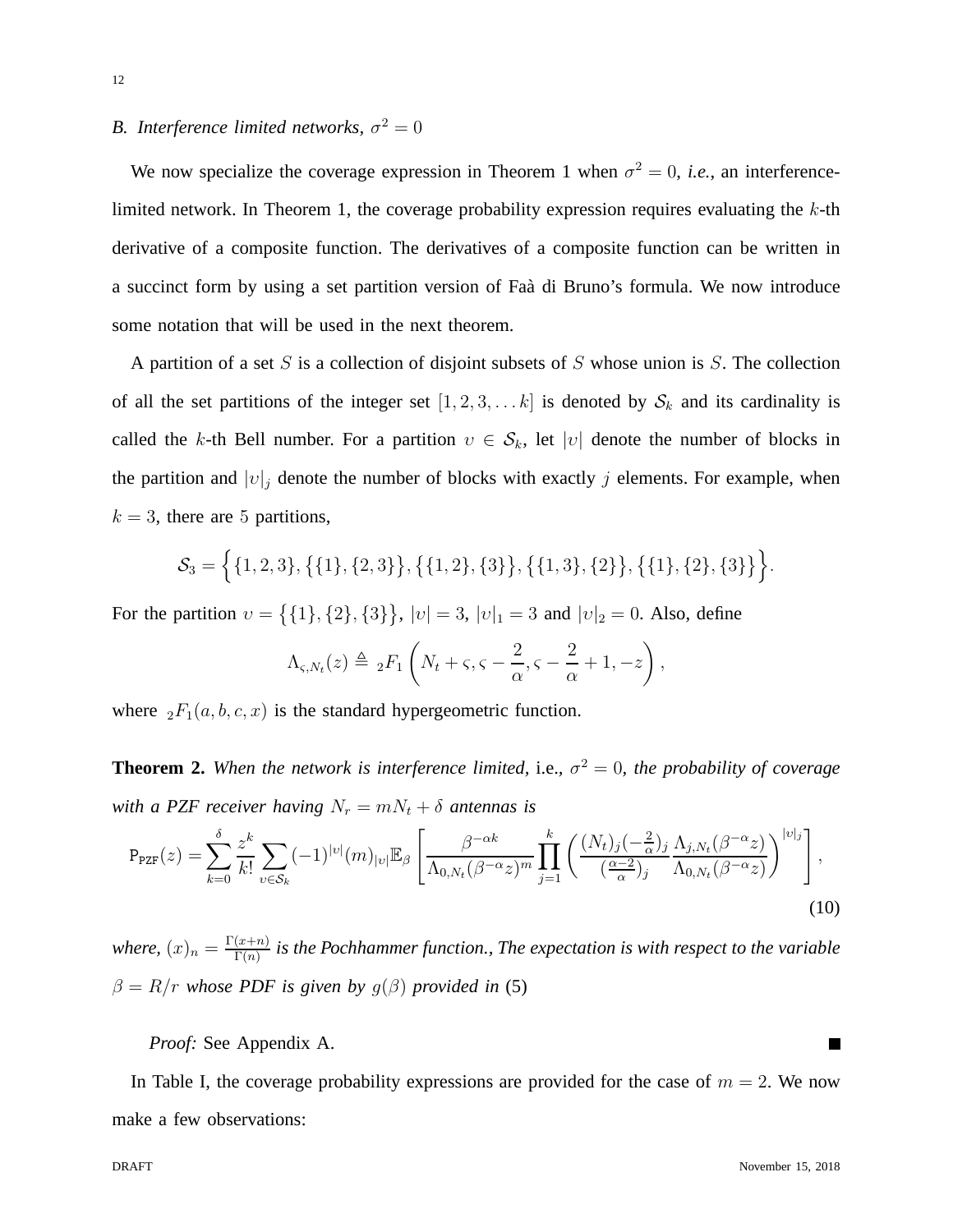# *B.* Interference limited networks,  $\sigma^2 = 0$

We now specialize the coverage expression in Theorem 1 when  $\sigma^2 = 0$ , *i.e.*, an interferencelimited network. In Theorem 1, the coverage probability expression requires evaluating the  $k$ -th derivative of a composite function. The derivatives of a composite function can be written in a succinct form by using a set partition version of Faà di Bruno's formula. We now introduce some notation that will be used in the next theorem.

A partition of a set S is a collection of disjoint subsets of S whose union is S. The collection of all the set partitions of the integer set  $[1, 2, 3, \ldots k]$  is denoted by  $S_k$  and its cardinality is called the k-th Bell number. For a partition  $v \in S_k$ , let  $|v|$  denote the number of blocks in the partition and  $|v|_j$  denote the number of blocks with exactly j elements. For example, when  $k = 3$ , there are 5 partitions,

$$
S_3 = \{ \{1, 2, 3\}, \{\{1\}, \{2, 3\}\}, \{\{1, 2\}, \{3\}\}, \{\{1, 3\}, \{2\}\}, \{\{1\}, \{2\}, \{3\}\} \}.
$$

For the partition  $v = \{ \{1\}, \{2\}, \{3\} \}, |v| = 3, |v|_1 = 3$  and  $|v|_2 = 0$ . Also, define

$$
\Lambda_{\varsigma, N_t}(z) \triangleq {}_2F_1\left(N_t + \varsigma, \varsigma - \frac{2}{\alpha}, \varsigma - \frac{2}{\alpha} + 1, -z\right),\,
$$

where  ${}_2F_1(a, b, c, x)$  is the standard hypergeometric function.

**Theorem 2.** When the network is interference limited, i.e.,  $\sigma^2 = 0$ , the probability of coverage *with a PZF receiver having*  $N_r = mN_t + \delta$  *antennas is* 

$$
P_{\text{PZF}}(z) = \sum_{k=0}^{\delta} \frac{z^k}{k!} \sum_{v \in \mathcal{S}_k} (-1)^{|v|} (m)_{|v|} \mathbb{E}_{\beta} \left[ \frac{\beta^{-\alpha k}}{\Lambda_{0,N_t}(\beta^{-\alpha} z)^m} \prod_{j=1}^k \left( \frac{(N_t)_j (-\frac{2}{\alpha})_j}{(\frac{\alpha-2}{\alpha})_j} \frac{\Lambda_{j,N_t}(\beta^{-\alpha} z)}{\Lambda_{0,N_t}(\beta^{-\alpha} z)} \right)^{|v|_j} \right],
$$
\n(10)

*where,*  $(x)_n = \frac{\Gamma(x+n)}{\Gamma(n)}$  $\frac{(x+n)}{\Gamma(n)}$  is the Pochhammer function., The expectation is with respect to the variable  $\beta = R/r$  *whose PDF is given by*  $g(\beta)$  *provided in* (5)

*Proof:* See Appendix A.

In Table I, the coverage probability expressions are provided for the case of  $m = 2$ . We now make a few observations:

**In the Second State**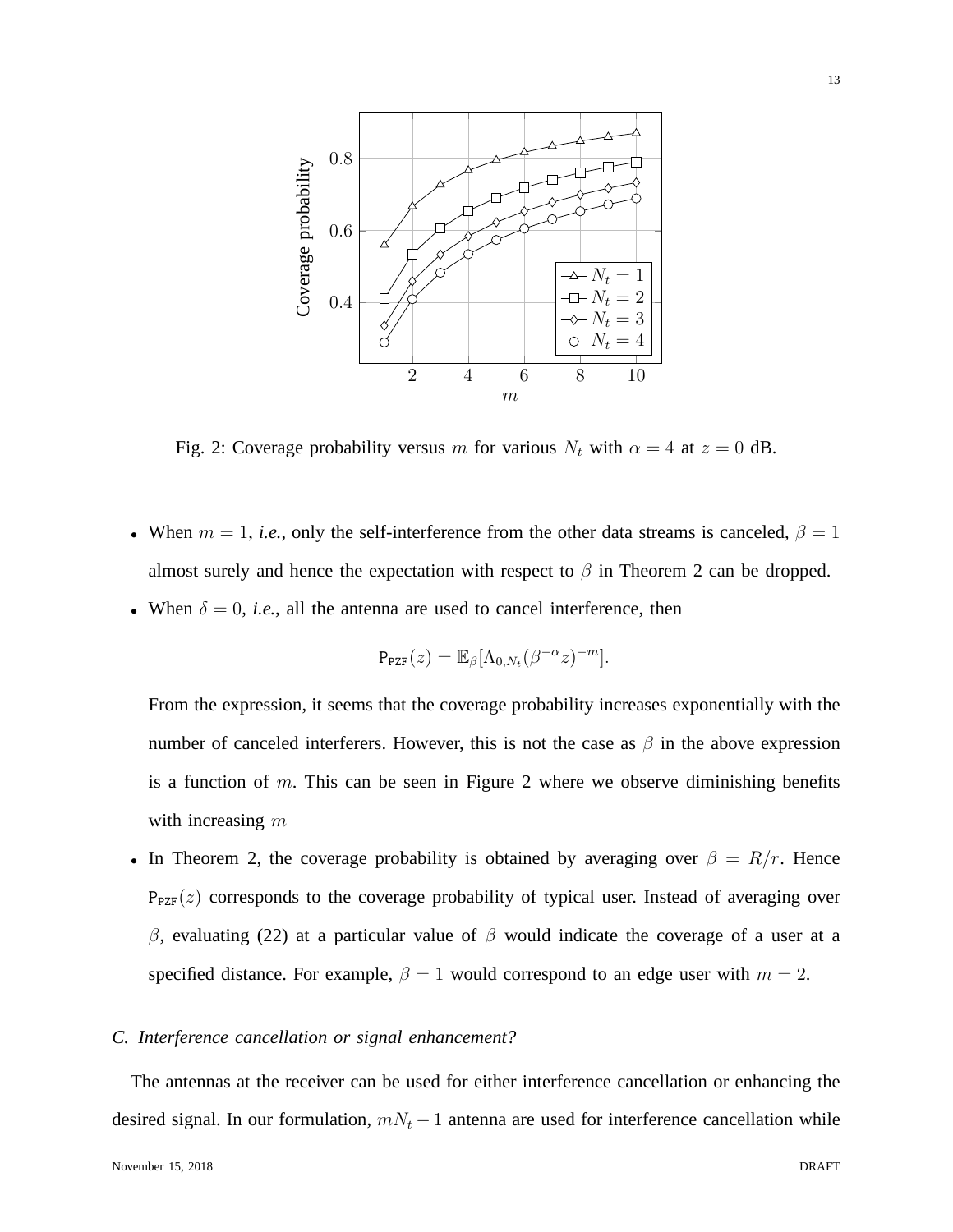

Fig. 2: Coverage probability versus m for various  $N_t$  with  $\alpha = 4$  at  $z = 0$  dB.

- When  $m = 1$ , *i.e.*, only the self-interference from the other data streams is canceled,  $\beta = 1$ almost surely and hence the expectation with respect to  $\beta$  in Theorem 2 can be dropped.
- When  $\delta = 0$ , *i.e.*, all the antenna are used to cancel interference, then

$$
P_{\text{PZF}}(z) = \mathbb{E}_{\beta} [\Lambda_{0,N_t} (\beta^{-\alpha} z)^{-m}].
$$

From the expression, it seems that the coverage probability increases exponentially with the number of canceled interferers. However, this is not the case as  $\beta$  in the above expression is a function of m. This can be seen in Figure 2 where we observe diminishing benefits with increasing  $m$ 

• In Theorem 2, the coverage probability is obtained by averaging over  $\beta = R/r$ . Hence  $P_{PZF}(z)$  corresponds to the coverage probability of typical user. Instead of averaging over  $β$ , evaluating (22) at a particular value of  $β$  would indicate the coverage of a user at a specified distance. For example,  $\beta = 1$  would correspond to an edge user with  $m = 2$ .

## *C. Interference cancellation or signal enhancement?*

The antennas at the receiver can be used for either interference cancellation or enhancing the desired signal. In our formulation,  $mN_t - 1$  antenna are used for interference cancellation while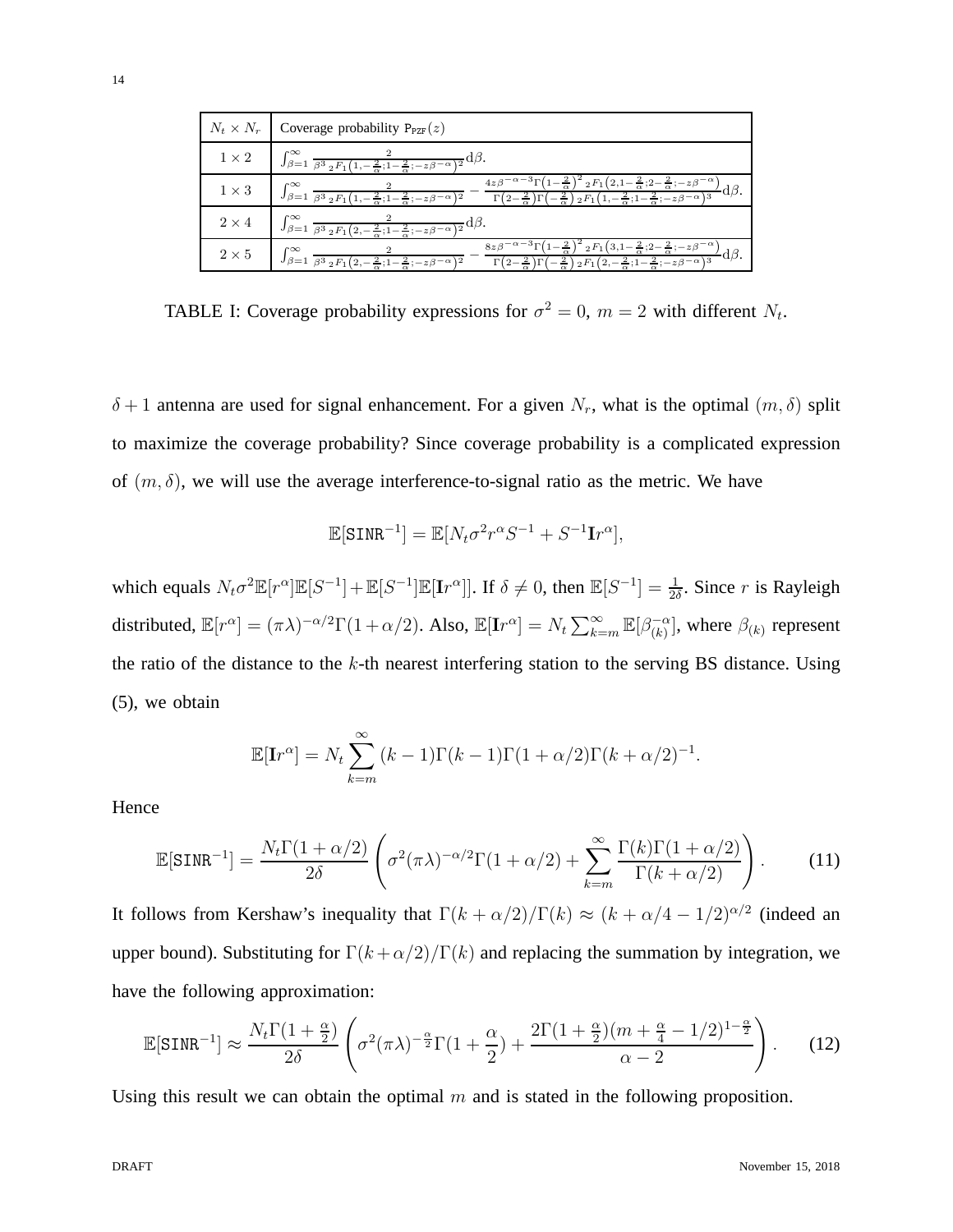|              | $N_t \times N_r$ Coverage probability $P_{PZF}(z)$                                                                                                                                                                                                                                                                                                                                                                                                                                              |
|--------------|-------------------------------------------------------------------------------------------------------------------------------------------------------------------------------------------------------------------------------------------------------------------------------------------------------------------------------------------------------------------------------------------------------------------------------------------------------------------------------------------------|
| $1 \times 2$ | $\int_{\beta=1}^{\infty} \frac{2}{\beta^3 2F_1(1,-\frac{2}{\alpha};1-\frac{2}{\alpha};-z\beta^{-\alpha})^2} d\beta.$                                                                                                                                                                                                                                                                                                                                                                            |
| $1 \times 3$ | $4z\beta^{-\alpha-3}\Gamma(1-\frac{2}{\alpha})^2 2F_1(2,1-\frac{2}{\alpha};2-\frac{2}{\alpha};-z\beta^{-\alpha})$<br>$\int_{\beta=1}^{\infty}\frac{2}{\beta^3\, {{}_2}\,F_1\!\left(1,-\frac{2}{\alpha};\!-\frac{2}{\alpha};\!-\frac{2}{\alpha};\!-\frac{2}{\beta}\!\right)^2}-\frac{\frac{4\,\alpha\,\beta}{\alpha}}{\Gamma\!\left(2-\frac{2}{\alpha}\right)\Gamma\!\left(-\frac{2}{\alpha}\right){}_2\,F_1\!\left(1,-\frac{2}{\alpha};\!1\!-\!\frac{2}{\alpha};\!-\frac{2}{\beta}\!\right)^2}$ |
| $2 \times 4$ | $\int_{\beta=1}^{\infty} \frac{2}{\beta^3 \, {\rm s}^2 F_1\left(2,-\frac{2}{\alpha};1-\frac{2}{\alpha};-z\beta^{-\alpha}\right)^2} \mathrm{d}\beta.$                                                                                                                                                                                                                                                                                                                                            |
| $2\times 5$  | $8z\beta^{-\alpha-3}\Gamma(1-\frac{2}{\alpha})^2 2F_1(3,1-\frac{2}{\alpha};2-\frac{2}{\alpha};-z\beta^{-\alpha})$<br>$\int_{\beta=1}^{\infty} \frac{z}{\beta^3 2F_1(2,-\frac{2}{\alpha};1-\frac{2}{\alpha};-z\beta^{-\alpha})^2}$<br>$\Gamma\left(2-\frac{2}{9}\right)\Gamma\left(-\frac{2}{9}\right)2F_1\left(2,-\frac{2}{9};1-\frac{2}{9};-z\beta-\alpha\right)^3$                                                                                                                            |

TABLE I: Coverage probability expressions for  $\sigma^2 = 0$ ,  $m = 2$  with different  $N_t$ .

 $\delta + 1$  antenna are used for signal enhancement. For a given  $N_r$ , what is the optimal  $(m, \delta)$  split to maximize the coverage probability? Since coverage probability is a complicated expression of  $(m, \delta)$ , we will use the average interference-to-signal ratio as the metric. We have

$$
\mathbb{E}[\texttt{SINR}^{-1}] = \mathbb{E}[N_t \sigma^2 r^{\alpha} S^{-1} + S^{-1} \mathbf{I} r^{\alpha}],
$$

which equals  $N_t \sigma^2 \mathbb{E}[r^{\alpha}] \mathbb{E}[S^{-1}] + \mathbb{E}[S^{-1}] \mathbb{E}[\mathbf{I}r^{\alpha}]]$ . If  $\delta \neq 0$ , then  $\mathbb{E}[S^{-1}] = \frac{1}{2\delta}$ . Since r is Rayleigh distributed,  $\mathbb{E}[r^{\alpha}] = (\pi \lambda)^{-\alpha/2} \Gamma(1+\alpha/2)$ . Also,  $\mathbb{E}[\mathbf{I}r^{\alpha}] = N_t \sum_{k=m}^{\infty} \mathbb{E}[\beta_{(k)}^{-\alpha}]$ , where  $\beta_{(k)}$  represent the ratio of the distance to the  $k$ -th nearest interfering station to the serving BS distance. Using (5), we obtain

$$
\mathbb{E}[\mathbf{I}r^{\alpha}] = N_t \sum_{k=m}^{\infty} (k-1)\Gamma(k-1)\Gamma(1+\alpha/2)\Gamma(k+\alpha/2)^{-1}.
$$

Hence

$$
\mathbb{E}[\text{SINR}^{-1}] = \frac{N_t \Gamma(1 + \alpha/2)}{2\delta} \left( \sigma^2 (\pi \lambda)^{-\alpha/2} \Gamma(1 + \alpha/2) + \sum_{k=m}^{\infty} \frac{\Gamma(k) \Gamma(1 + \alpha/2)}{\Gamma(k + \alpha/2)} \right).
$$
 (11)

It follows from Kershaw's inequality that  $\Gamma(k + \alpha/2)/\Gamma(k) \approx (k + \alpha/4 - 1/2)^{\alpha/2}$  (indeed an upper bound). Substituting for  $\Gamma(k+\alpha/2)/\Gamma(k)$  and replacing the summation by integration, we have the following approximation:

$$
\mathbb{E}[\text{SINR}^{-1}] \approx \frac{N_t \Gamma(1+\frac{\alpha}{2})}{2\delta} \left( \sigma^2(\pi\lambda)^{-\frac{\alpha}{2}} \Gamma(1+\frac{\alpha}{2}) + \frac{2\Gamma(1+\frac{\alpha}{2})(m+\frac{\alpha}{4}-1/2)^{1-\frac{\alpha}{2}}}{\alpha-2} \right). \tag{12}
$$

Using this result we can obtain the optimal  $m$  and is stated in the following proposition.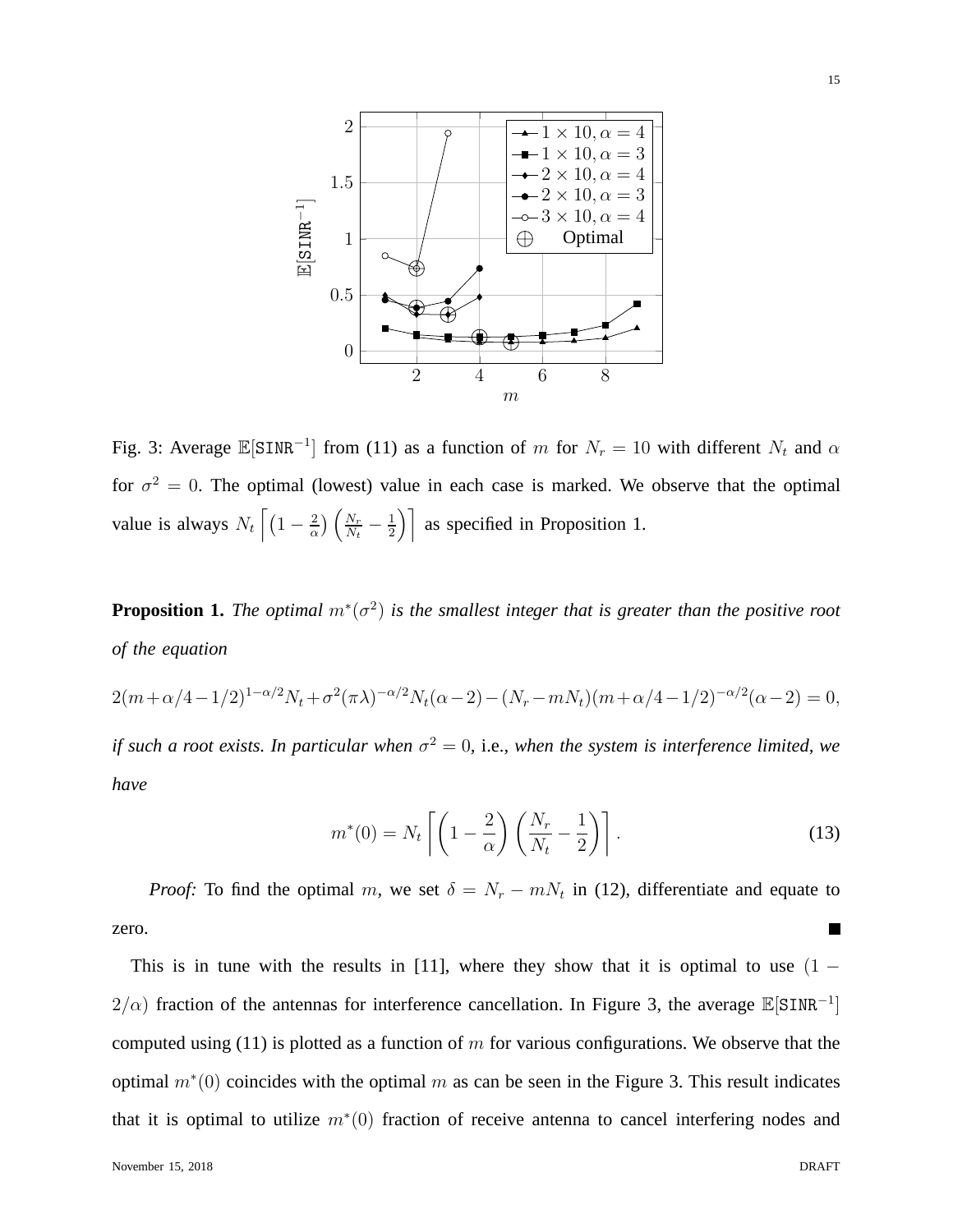

Fig. 3: Average  $\mathbb{E}[\text{SINR}^{-1}]$  from (11) as a function of m for  $N_r = 10$  with different  $N_t$  and  $\alpha$ for  $\sigma^2 = 0$ . The optimal (lowest) value in each case is marked. We observe that the optimal value is always  $N_t \left[ \left( 1 - \frac{2}{\alpha} \right) \right]$  $\frac{2}{\alpha}$ )  $\left(\frac{N_r}{N_t}\right)$  $\frac{N_r}{N_t}-\frac{1}{2}$  $\left(\frac{1}{2}\right)$  as specified in Proposition 1.

**Proposition 1.** *The optimal* m<sup>∗</sup> (σ 2 ) *is the smallest integer that is greater than the positive root of the equation*

 $2(m+\alpha/4-1/2)^{1-\alpha/2}N_t+\sigma^2(\pi\lambda)^{-\alpha/2}N_t(\alpha-2)-(N_r-mN_t)(m+\alpha/4-1/2)^{-\alpha/2}(\alpha-2)=0,$ *if such a root exists. In particular when*  $\sigma^2 = 0$ , i.e., when the system is interference limited, we *have*

$$
m^*(0) = N_t \left[ \left( 1 - \frac{2}{\alpha} \right) \left( \frac{N_r}{N_t} - \frac{1}{2} \right) \right].
$$
 (13)

*Proof:* To find the optimal m, we set  $\delta = N_r - mN_t$  in (12), differentiate and equate to zero.

This is in tune with the results in [11], where they show that it is optimal to use  $(1 2/\alpha$ ) fraction of the antennas for interference cancellation. In Figure 3, the average  $\mathbb{E}[\text{SINR}^{-1}]$ computed using (11) is plotted as a function of  $m$  for various configurations. We observe that the optimal  $m^*(0)$  coincides with the optimal m as can be seen in the Figure 3. This result indicates that it is optimal to utilize  $m^*(0)$  fraction of receive antenna to cancel interfering nodes and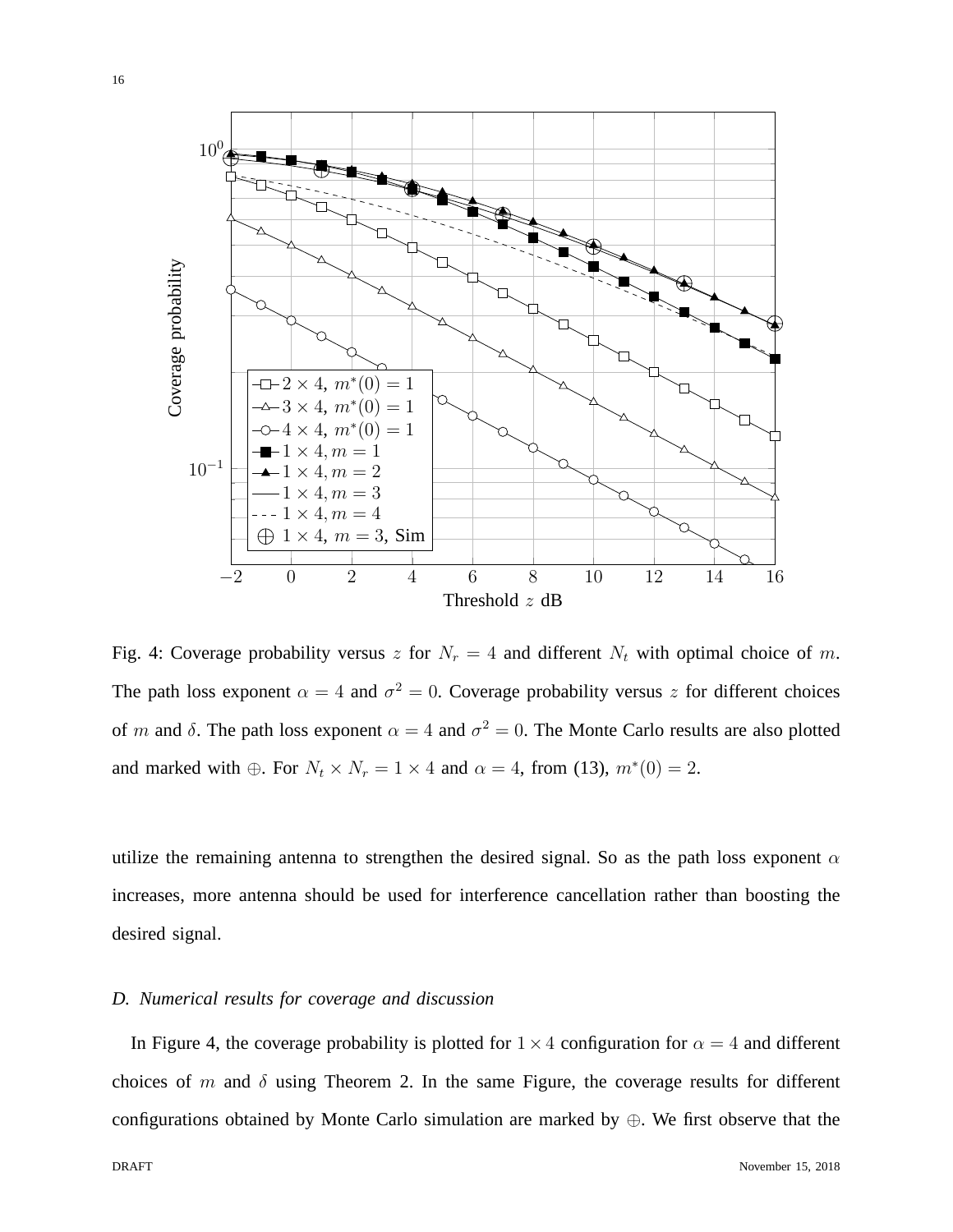

Fig. 4: Coverage probability versus z for  $N_r = 4$  and different  $N_t$  with optimal choice of m. The path loss exponent  $\alpha = 4$  and  $\sigma^2 = 0$ . Coverage probability versus z for different choices of m and  $\delta$ . The path loss exponent  $\alpha = 4$  and  $\sigma^2 = 0$ . The Monte Carlo results are also plotted and marked with  $\oplus$ . For  $N_t \times N_r = 1 \times 4$  and  $\alpha = 4$ , from (13),  $m^*(0) = 2$ .

utilize the remaining antenna to strengthen the desired signal. So as the path loss exponent  $\alpha$ increases, more antenna should be used for interference cancellation rather than boosting the desired signal.

## *D. Numerical results for coverage and discussion*

In Figure 4, the coverage probability is plotted for  $1 \times 4$  configuration for  $\alpha = 4$  and different choices of m and  $\delta$  using Theorem 2. In the same Figure, the coverage results for different configurations obtained by Monte Carlo simulation are marked by ⊕. We first observe that the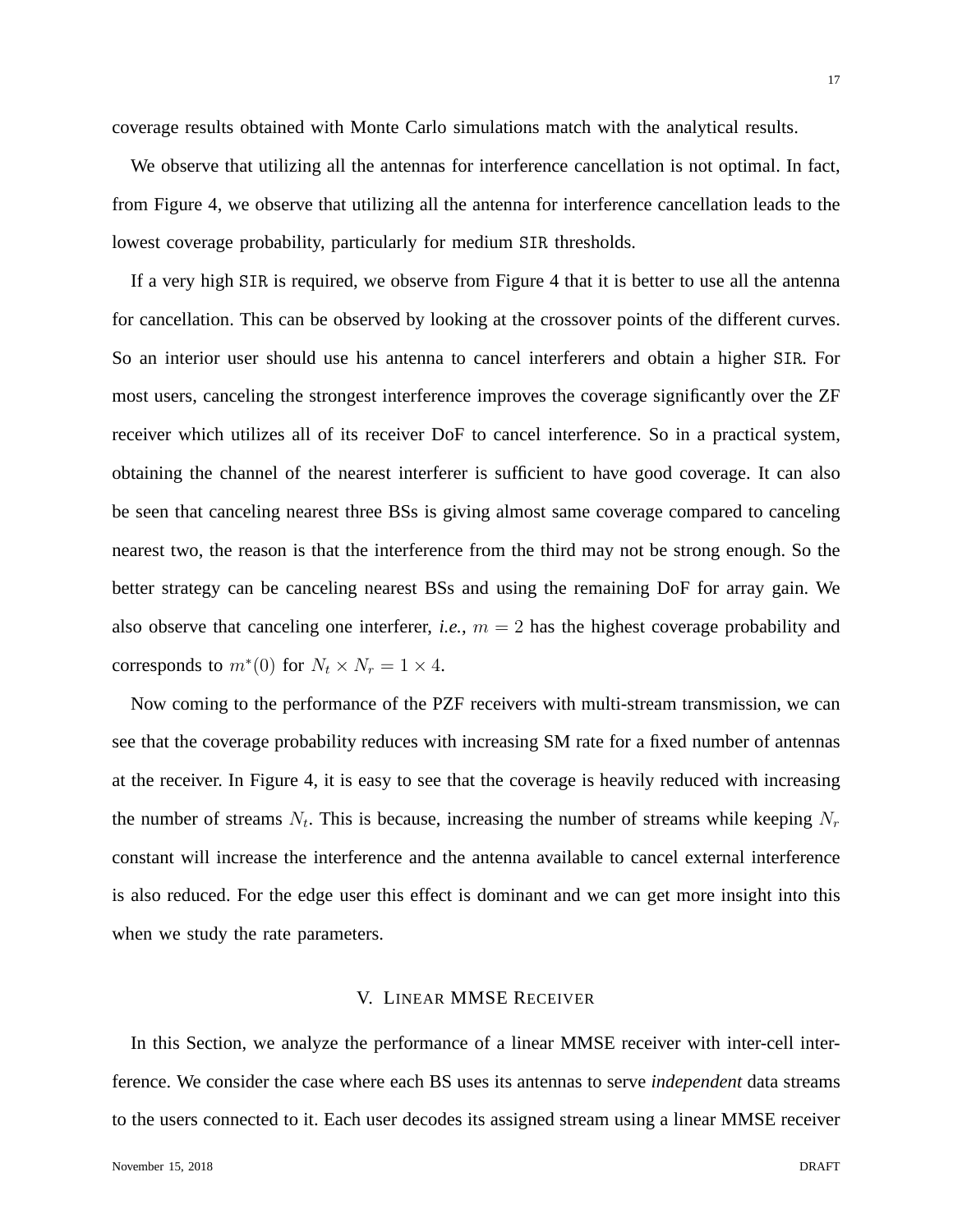We observe that utilizing all the antennas for interference cancellation is not optimal. In fact, from Figure 4, we observe that utilizing all the antenna for interference cancellation leads to the lowest coverage probability, particularly for medium SIR thresholds.

If a very high SIR is required, we observe from Figure 4 that it is better to use all the antenna for cancellation. This can be observed by looking at the crossover points of the different curves. So an interior user should use his antenna to cancel interferers and obtain a higher SIR. For most users, canceling the strongest interference improves the coverage significantly over the ZF receiver which utilizes all of its receiver DoF to cancel interference. So in a practical system, obtaining the channel of the nearest interferer is sufficient to have good coverage. It can also be seen that canceling nearest three BSs is giving almost same coverage compared to canceling nearest two, the reason is that the interference from the third may not be strong enough. So the better strategy can be canceling nearest BSs and using the remaining DoF for array gain. We also observe that canceling one interferer, *i.e.*,  $m = 2$  has the highest coverage probability and corresponds to  $m^*(0)$  for  $N_t \times N_r = 1 \times 4$ .

Now coming to the performance of the PZF receivers with multi-stream transmission, we can see that the coverage probability reduces with increasing SM rate for a fixed number of antennas at the receiver. In Figure 4, it is easy to see that the coverage is heavily reduced with increasing the number of streams  $N_t$ . This is because, increasing the number of streams while keeping  $N_r$ constant will increase the interference and the antenna available to cancel external interference is also reduced. For the edge user this effect is dominant and we can get more insight into this when we study the rate parameters.

#### V. LINEAR MMSE RECEIVER

In this Section, we analyze the performance of a linear MMSE receiver with inter-cell interference. We consider the case where each BS uses its antennas to serve *independent* data streams to the users connected to it. Each user decodes its assigned stream using a linear MMSE receiver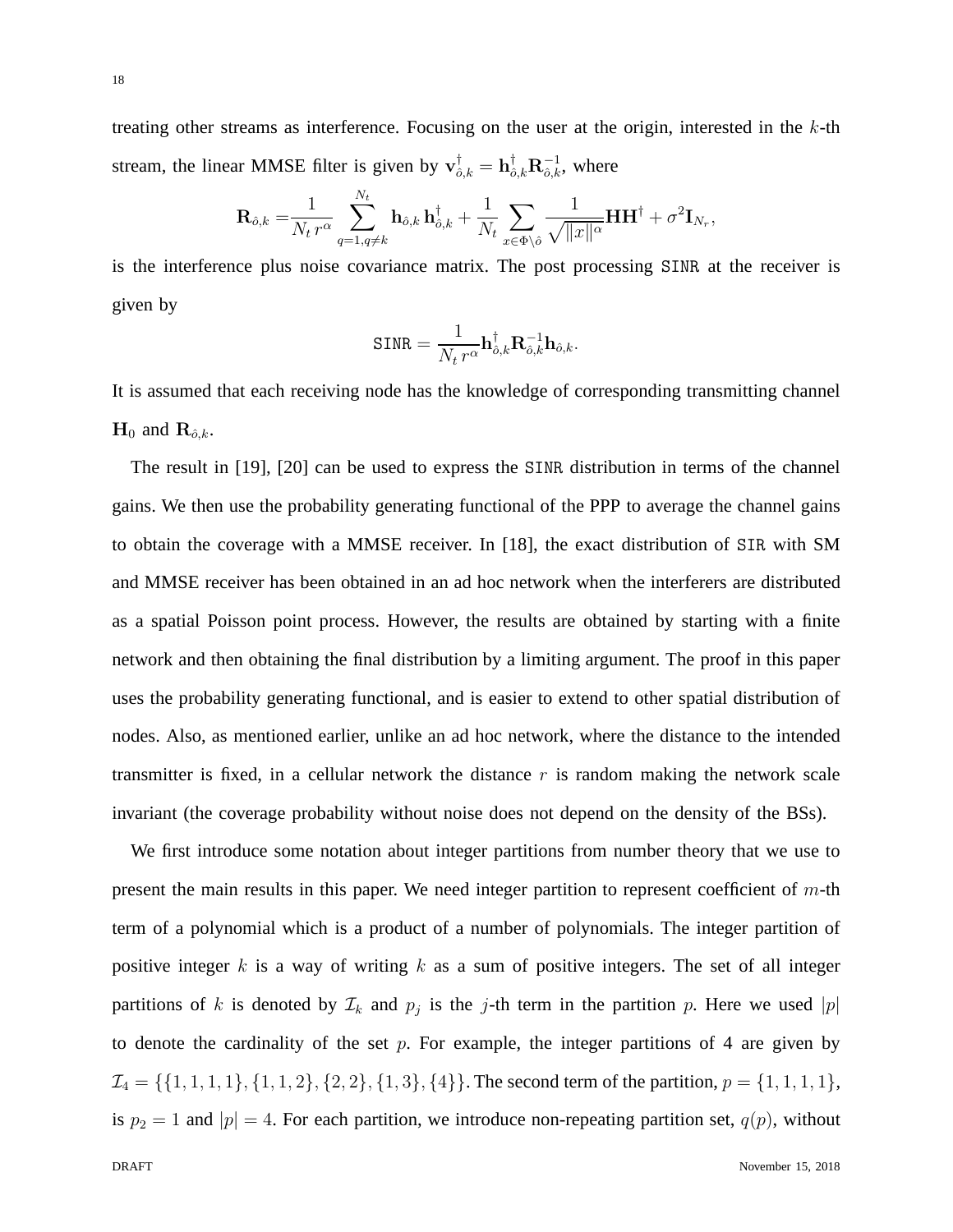treating other streams as interference. Focusing on the user at the origin, interested in the k-th stream, the linear MMSE filter is given by  $\mathbf{v}_{\hat{o},k}^{\dagger} = \mathbf{h}_{\hat{o},k}^{\dagger} \mathbf{R}_{\hat{o},k}^{-1}$ , where

$$
\mathbf{R}_{\hat{o},k} = \frac{1}{N_t r^{\alpha}} \sum_{q=1,q\neq k}^{N_t} \mathbf{h}_{\hat{o},k} \, \mathbf{h}_{\hat{o},k}^{\dagger} + \frac{1}{N_t} \sum_{x \in \Phi \setminus \hat{o}} \frac{1}{\sqrt{\|x\|^{\alpha}}} \mathbf{H} \mathbf{H}^{\dagger} + \sigma^2 \mathbf{I}_{N_r},
$$

is the interference plus noise covariance matrix. The post processing SINR at the receiver is given by

$$
\texttt{SINR} = \frac{1}{N_t \, r^{\alpha}} \mathbf{h}_{\hat{o},k}^{\dagger} \mathbf{R}_{\hat{o},k}^{-1} \mathbf{h}_{\hat{o},k}.
$$

It is assumed that each receiving node has the knowledge of corresponding transmitting channel  $H_0$  and  $R_{\hat{o},k}$ .

The result in [19], [20] can be used to express the SINR distribution in terms of the channel gains. We then use the probability generating functional of the PPP to average the channel gains to obtain the coverage with a MMSE receiver. In [18], the exact distribution of SIR with SM and MMSE receiver has been obtained in an ad hoc network when the interferers are distributed as a spatial Poisson point process. However, the results are obtained by starting with a finite network and then obtaining the final distribution by a limiting argument. The proof in this paper uses the probability generating functional, and is easier to extend to other spatial distribution of nodes. Also, as mentioned earlier, unlike an ad hoc network, where the distance to the intended transmitter is fixed, in a cellular network the distance  $r$  is random making the network scale invariant (the coverage probability without noise does not depend on the density of the BSs).

We first introduce some notation about integer partitions from number theory that we use to present the main results in this paper. We need integer partition to represent coefficient of  $m$ -th term of a polynomial which is a product of a number of polynomials. The integer partition of positive integer  $k$  is a way of writing  $k$  as a sum of positive integers. The set of all integer partitions of k is denoted by  $\mathcal{I}_k$  and  $p_j$  is the j-th term in the partition p. Here we used |p| to denote the cardinality of the set  $p$ . For example, the integer partitions of 4 are given by  $\mathcal{I}_4 = \{\{1, 1, 1, 1\}, \{1, 1, 2\}, \{2, 2\}, \{1, 3\}, \{4\}\}.$  The second term of the partition,  $p = \{1, 1, 1, 1\},$ is  $p_2 = 1$  and  $|p| = 4$ . For each partition, we introduce non-repeating partition set,  $q(p)$ , without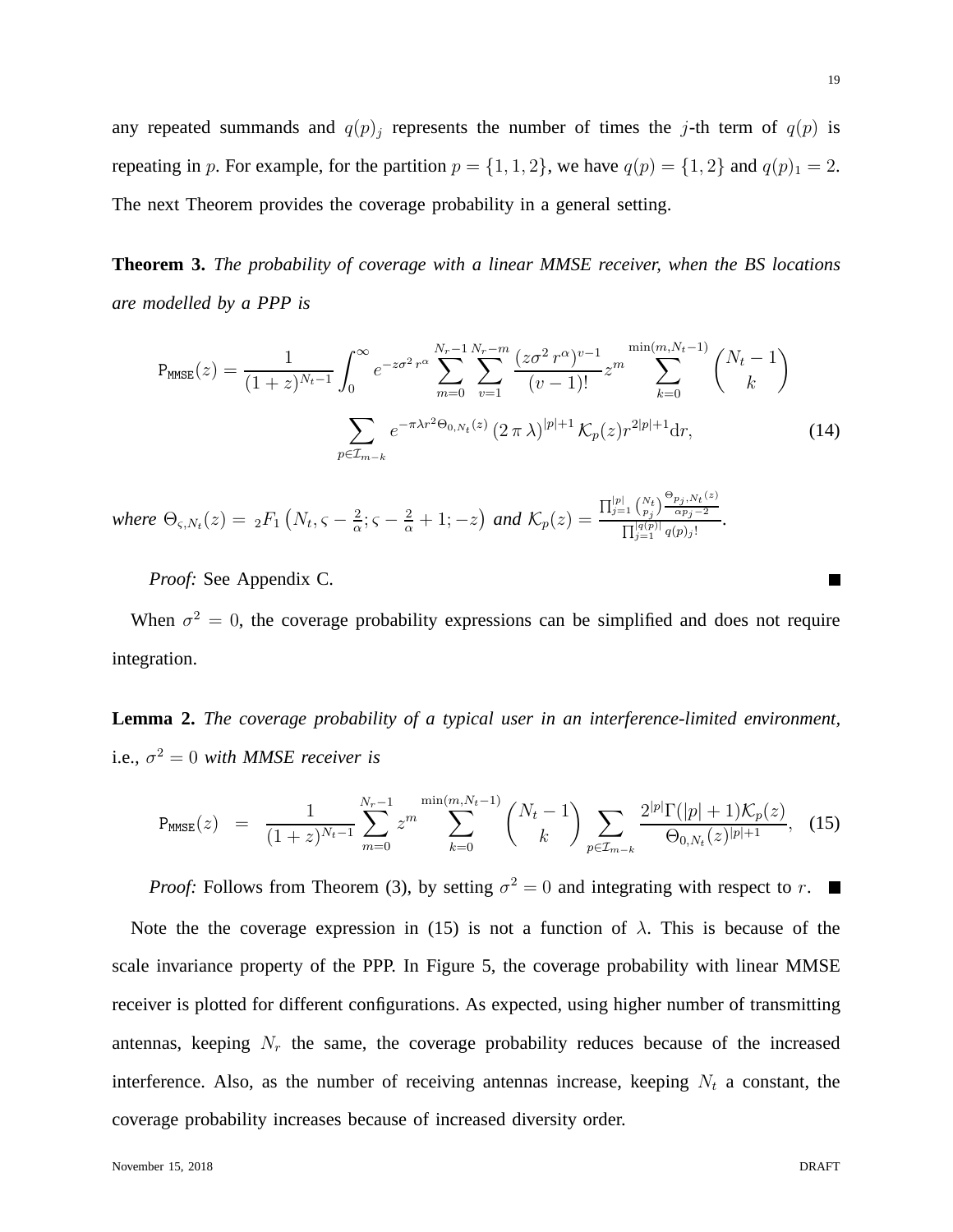any repeated summands and  $q(p)_i$  represents the number of times the j-th term of  $q(p)$  is repeating in p. For example, for the partition  $p = \{1, 1, 2\}$ , we have  $q(p) = \{1, 2\}$  and  $q(p)_1 = 2$ . The next Theorem provides the coverage probability in a general setting.

**Theorem 3.** *The probability of coverage with a linear MMSE receiver, when the BS locations are modelled by a PPP is*

$$
P_{\text{MMSE}}(z) = \frac{1}{(1+z)^{N_t-1}} \int_0^\infty e^{-z\sigma^2 r^\alpha} \sum_{m=0}^{N_r-1} \sum_{v=1}^{N_r-m} \frac{(z\sigma^2 r^\alpha)^{v-1}}{(v-1)!} z^m \sum_{k=0}^{\min(m, N_t-1)} \binom{N_t-1}{k}
$$

$$
\sum_{p \in \mathcal{I}_{m-k}} e^{-\pi \lambda r^2 \Theta_{0,N_t}(z)} (2\pi \lambda)^{|p|+1} \mathcal{K}_p(z) r^{2|p|+1} dr,
$$
(14)

where  $\Theta_{\varsigma, N_t}(z) = \frac{1}{2} F_1 \left( N_t, \varsigma - \frac{2}{\alpha} \right)$  $\frac{2}{\alpha}$ ;  $\varsigma - \frac{2}{\alpha} + 1$ ; -z) and  $\mathcal{K}_p(z) =$  $\prod_{j=1}^{|p|} \binom{N_t}{p_j} \frac{\Theta_{p_j,N_t}(z)}{\alpha p_j-2}$  $\alpha p_j-2$  $\frac{\prod_{j=1}^{|q(p)|} \alpha p_j - 2}{\prod_{j=1}^{|q(p)|} q(p)_j!}.$ 

*Proof:* See Appendix C.

When  $\sigma^2 = 0$ , the coverage probability expressions can be simplified and does not require integration.

**Lemma 2.** *The coverage probability of a typical user in an interference-limited environment,* i.e.,  $\sigma^2 = 0$  with MMSE receiver is

$$
P_{MMSE}(z) = \frac{1}{(1+z)^{N_t-1}} \sum_{m=0}^{N_r-1} z^m \sum_{k=0}^{\min(m, N_t-1)} {N_t-1 \choose k} \sum_{p \in \mathcal{I}_{m-k}} \frac{2^{|p|} \Gamma(|p|+1) \mathcal{K}_p(z)}{\Theta_{0,N_t}(z)^{|p|+1}}, \quad (15)
$$

*Proof:* Follows from Theorem (3), by setting  $\sigma^2 = 0$  and integrating with respect to r.

Note the the coverage expression in (15) is not a function of  $\lambda$ . This is because of the scale invariance property of the PPP. In Figure 5, the coverage probability with linear MMSE receiver is plotted for different configurations. As expected, using higher number of transmitting antennas, keeping  $N_r$  the same, the coverage probability reduces because of the increased interference. Also, as the number of receiving antennas increase, keeping  $N_t$  a constant, the coverage probability increases because of increased diversity order.

П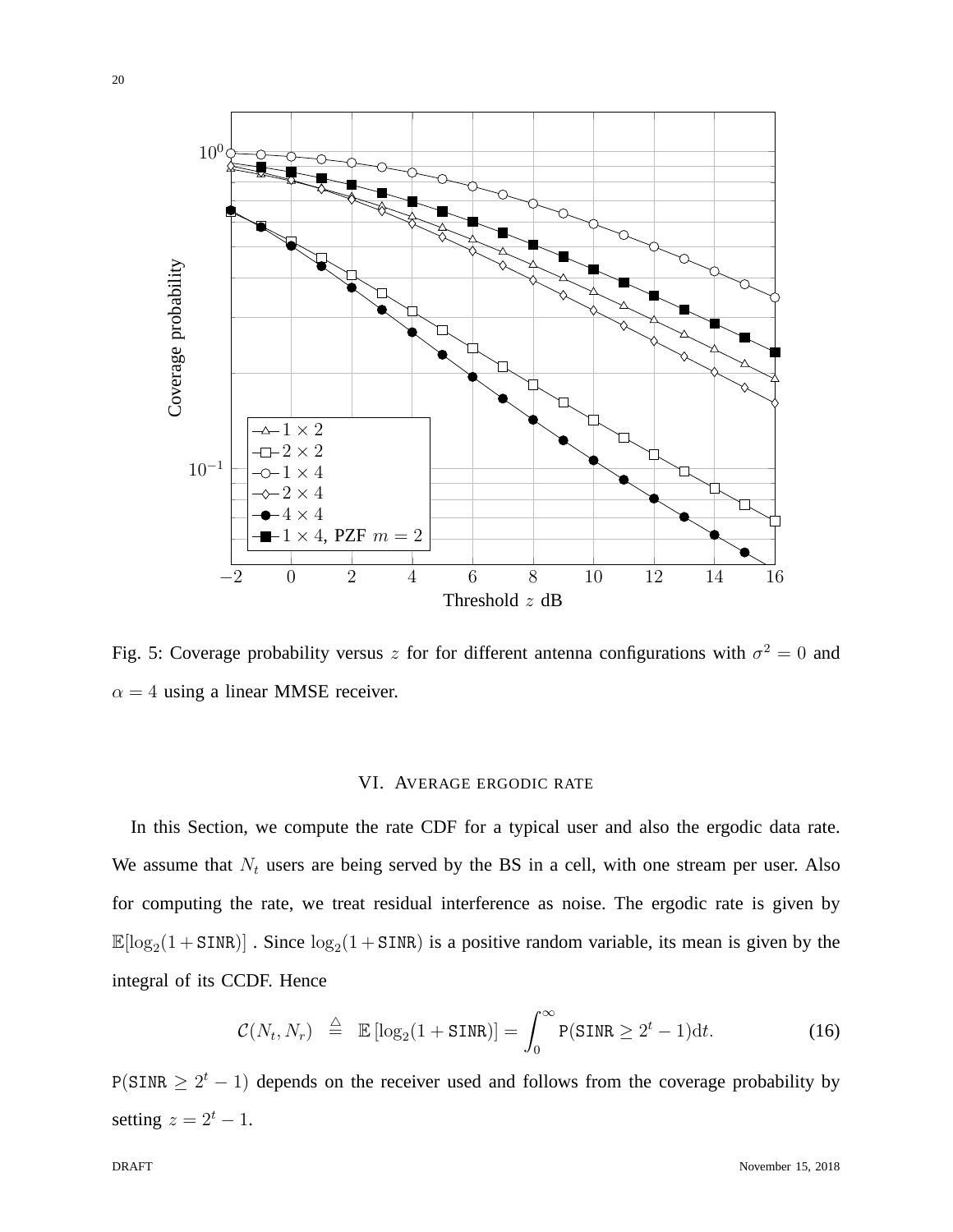

Fig. 5: Coverage probability versus z for for different antenna configurations with  $\sigma^2 = 0$  and  $\alpha = 4$  using a linear MMSE receiver.

## VI. AVERAGE ERGODIC RATE

In this Section, we compute the rate CDF for a typical user and also the ergodic data rate. We assume that  $N_t$  users are being served by the BS in a cell, with one stream per user. Also for computing the rate, we treat residual interference as noise. The ergodic rate is given by  $\mathbb{E}[\log_2(1 + \text{SINR})]$ . Since  $\log_2(1 + \text{SINR})$  is a positive random variable, its mean is given by the integral of its CCDF. Hence

$$
\mathcal{C}(N_t, N_r) \stackrel{\triangle}{=} \mathbb{E}\left[\log_2(1 + \text{SINR})\right] = \int_0^\infty P(\text{SINR} \ge 2^t - 1) \mathrm{d}t. \tag{16}
$$

 $P(SINR \geq 2^t - 1)$  depends on the receiver used and follows from the coverage probability by setting  $z = 2^t - 1$ .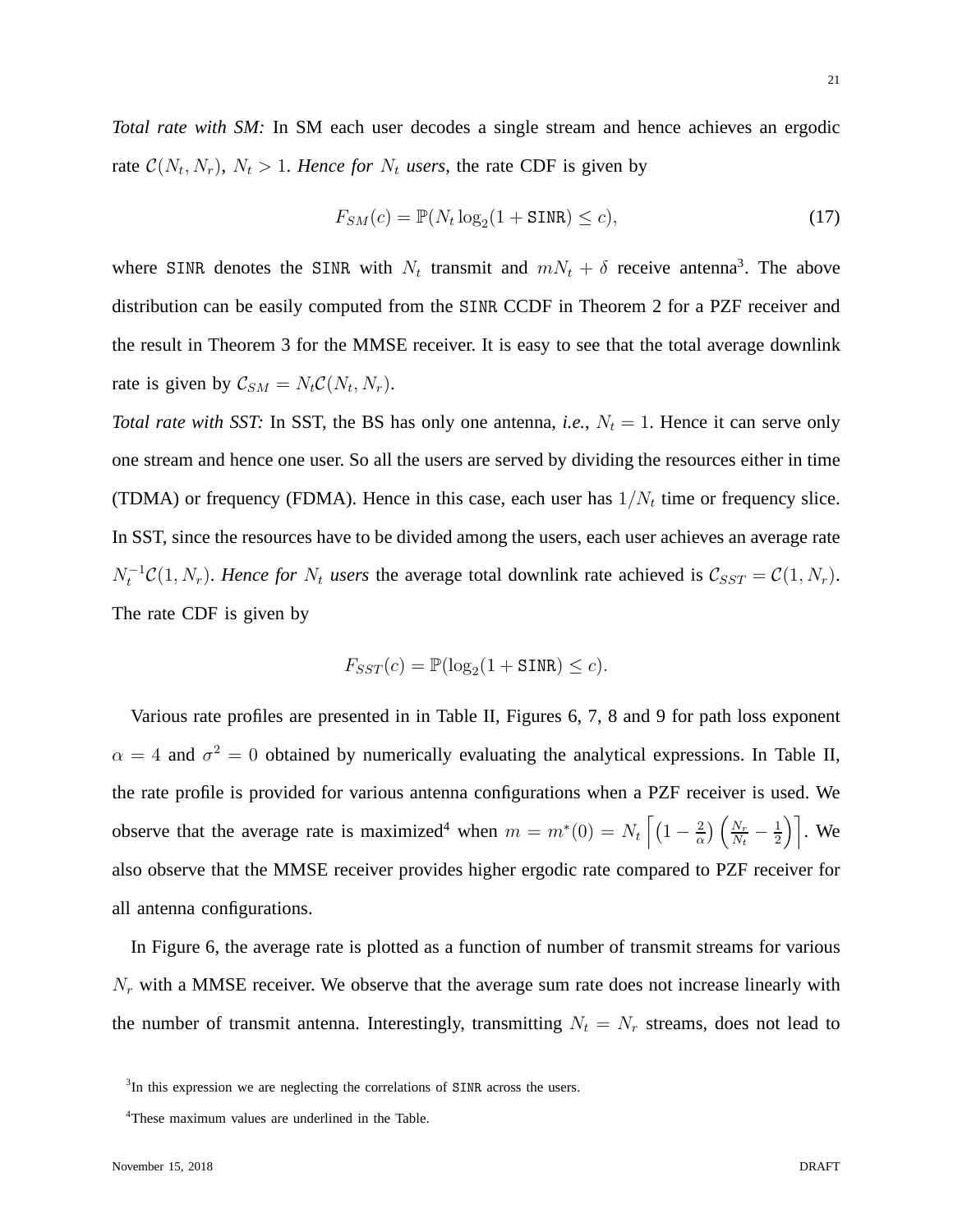*Total rate with SM:* In SM each user decodes a single stream and hence achieves an ergodic rate  $C(N_t, N_r)$ ,  $N_t > 1$ . *Hence for*  $N_t$  *users*, the rate CDF is given by

$$
F_{SM}(c) = \mathbb{P}(N_t \log_2(1 + \text{SINR}) \le c),\tag{17}
$$

where SINR denotes the SINR with  $N_t$  transmit and  $mN_t + \delta$  receive antenna<sup>3</sup>. The above distribution can be easily computed from the SINR CCDF in Theorem 2 for a PZF receiver and the result in Theorem 3 for the MMSE receiver. It is easy to see that the total average downlink rate is given by  $C_{SM} = N_t C(N_t, N_r)$ .

*Total rate with SST:* In SST, the BS has only one antenna, *i.e.*,  $N_t = 1$ . Hence it can serve only one stream and hence one user. So all the users are served by dividing the resources either in time (TDMA) or frequency (FDMA). Hence in this case, each user has  $1/N_t$  time or frequency slice. In SST, since the resources have to be divided among the users, each user achieves an average rate  $N_t^{-1}C(1, N_r)$ . *Hence for*  $N_t$  *users* the average total downlink rate achieved is  $C_{SST} = C(1, N_r)$ . The rate CDF is given by

$$
F_{SST}(c) = \mathbb{P}(\log_2(1 + \text{SINR}) \le c).
$$

Various rate profiles are presented in in Table II, Figures 6, 7, 8 and 9 for path loss exponent  $\alpha = 4$  and  $\sigma^2 = 0$  obtained by numerically evaluating the analytical expressions. In Table II, the rate profile is provided for various antenna configurations when a PZF receiver is used. We observe that the average rate is maximized<sup>4</sup> when  $m = m^*(0) = N_t \left[ \left(1 - \frac{2}{\alpha}\right) \right]$  $\frac{2}{\alpha}$ )  $\left(\frac{N_r}{N_t}\right)$  $\frac{N_r}{N_t}-\frac{1}{2}$  $\left(\frac{1}{2}\right)$ . We also observe that the MMSE receiver provides higher ergodic rate compared to PZF receiver for all antenna configurations.

In Figure 6, the average rate is plotted as a function of number of transmit streams for various  $N_r$  with a MMSE receiver. We observe that the average sum rate does not increase linearly with the number of transmit antenna. Interestingly, transmitting  $N_t = N_r$  streams, does not lead to

<sup>&</sup>lt;sup>3</sup>In this expression we are neglecting the correlations of SINR across the users.

<sup>4</sup>These maximum values are underlined in the Table.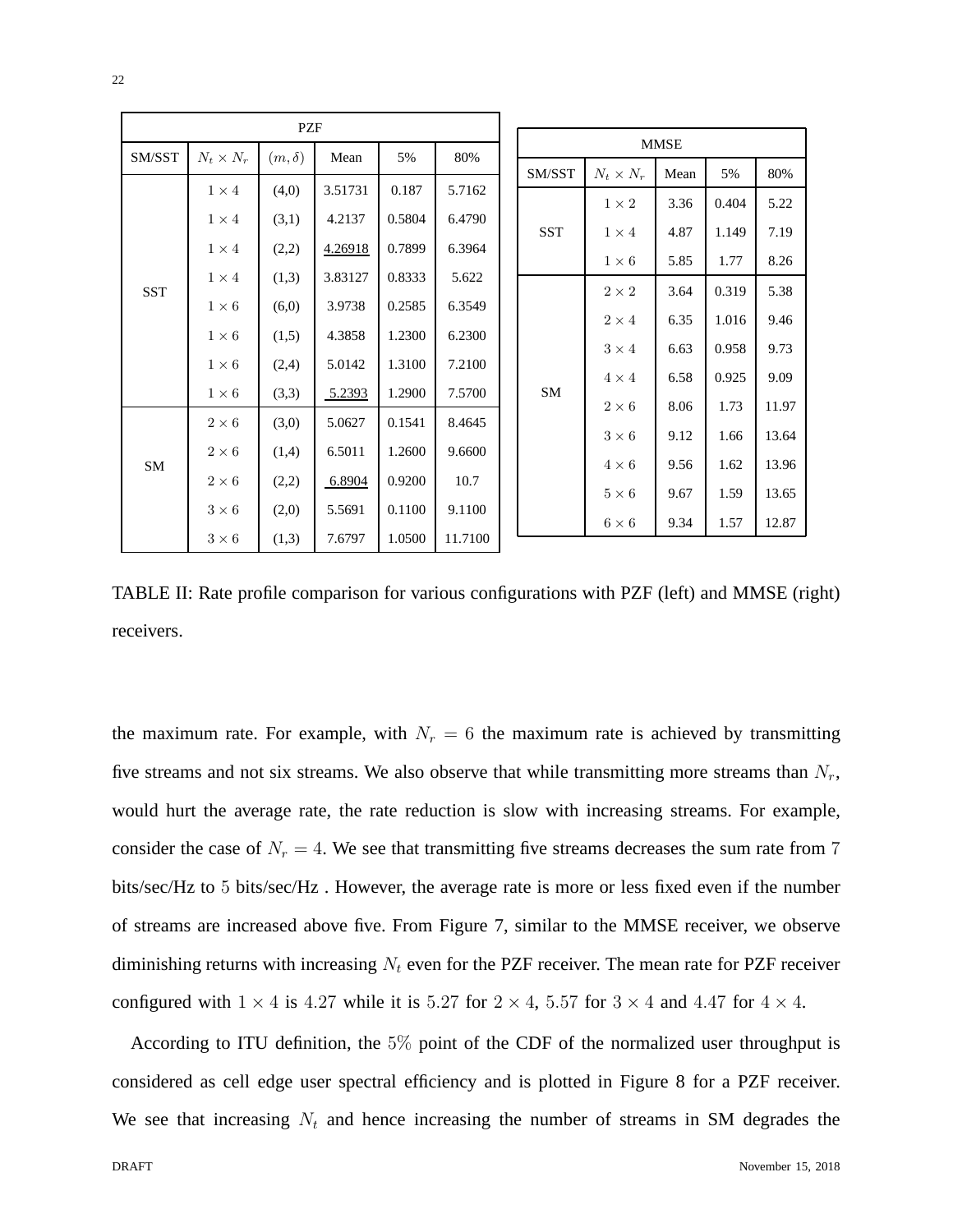| PZF    |                  |              |         |        |         |                  |                  |      |       |       |  |
|--------|------------------|--------------|---------|--------|---------|------------------|------------------|------|-------|-------|--|
| SM/SST | $N_t \times N_r$ | $(m,\delta)$ | Mean    | 5%     | 80%     |                  | <b>MMSE</b>      |      |       |       |  |
|        |                  |              |         |        |         | SM/SST           | $N_t \times N_r$ | Mean | 5%    | 80%   |  |
| SST    | $1 \times 4$     | (4,0)        | 3.51731 | 0.187  | 5.7162  | <b>SST</b><br>SM | $1 \times 2$     | 3.36 | 0.404 | 5.22  |  |
|        | $1 \times 4$     | (3,1)        | 4.2137  | 0.5804 | 6.4790  |                  |                  | 4.87 | 1.149 | 7.19  |  |
|        | $1 \times 4$     | (2,2)        | 4.26918 | 0.7899 | 6.3964  |                  | $1 \times 4$     |      |       |       |  |
|        | $1 \times 4$     | (1,3)        | 3.83127 | 0.8333 | 5.622   |                  | $1\times 6$      | 5.85 | 1.77  | 8.26  |  |
|        |                  |              |         |        |         |                  | $2 \times 2$     | 3.64 | 0.319 | 5.38  |  |
|        | $1 \times 6$     | (6,0)        | 3.9738  | 0.2585 | 6.3549  |                  | $2 \times 4$     | 6.35 | 1.016 | 9.46  |  |
|        | $1 \times 6$     | (1,5)        | 4.3858  | 1.2300 | 6.2300  |                  | $3\times 4$      | 6.63 | 0.958 | 9.73  |  |
|        | $1 \times 6$     | (2,4)        | 5.0142  | 1.3100 | 7.2100  |                  |                  |      |       |       |  |
|        | $1\times 6$      | (3,3)        | 5.2393  | 1.2900 | 7.5700  |                  | $4 \times 4$     | 6.58 | 0.925 | 9.09  |  |
| SM     |                  |              |         |        |         |                  | $2\times 6$      | 8.06 | 1.73  | 11.97 |  |
|        | $2\times 6$      | (3,0)        | 5.0627  | 0.1541 | 8.4645  |                  | $3\times 6$      | 9.12 | 1.66  | 13.64 |  |
|        | $2\times 6$      | (1,4)        | 6.5011  | 1.2600 | 9.6600  |                  |                  |      |       |       |  |
|        | $2\times 6$      | (2,2)        | 6.8904  | 0.9200 | 10.7    |                  | $4 \times 6$     | 9.56 | 1.62  | 13.96 |  |
|        |                  |              |         |        |         |                  | $5 \times 6$     | 9.67 | 1.59  | 13.65 |  |
|        | $3\times6$       | (2,0)        | 5.5691  | 0.1100 | 9.1100  |                  | $6 \times 6$     | 9.34 | 1.57  | 12.87 |  |
|        | $3\times6$       | (1,3)        | 7.6797  | 1.0500 | 11.7100 |                  |                  |      |       |       |  |

TABLE II: Rate profile comparison for various configurations with PZF (left) and MMSE (right) receivers.

the maximum rate. For example, with  $N_r = 6$  the maximum rate is achieved by transmitting five streams and not six streams. We also observe that while transmitting more streams than  $N_r$ , would hurt the average rate, the rate reduction is slow with increasing streams. For example, consider the case of  $N_r = 4$ . We see that transmitting five streams decreases the sum rate from 7 bits/sec/Hz to 5 bits/sec/Hz . However, the average rate is more or less fixed even if the number of streams are increased above five. From Figure 7, similar to the MMSE receiver, we observe diminishing returns with increasing  $N_t$  even for the PZF receiver. The mean rate for PZF receiver configured with  $1 \times 4$  is 4.27 while it is 5.27 for  $2 \times 4$ , 5.57 for  $3 \times 4$  and 4.47 for  $4 \times 4$ .

According to ITU definition, the 5% point of the CDF of the normalized user throughput is considered as cell edge user spectral efficiency and is plotted in Figure 8 for a PZF receiver. We see that increasing  $N_t$  and hence increasing the number of streams in SM degrades the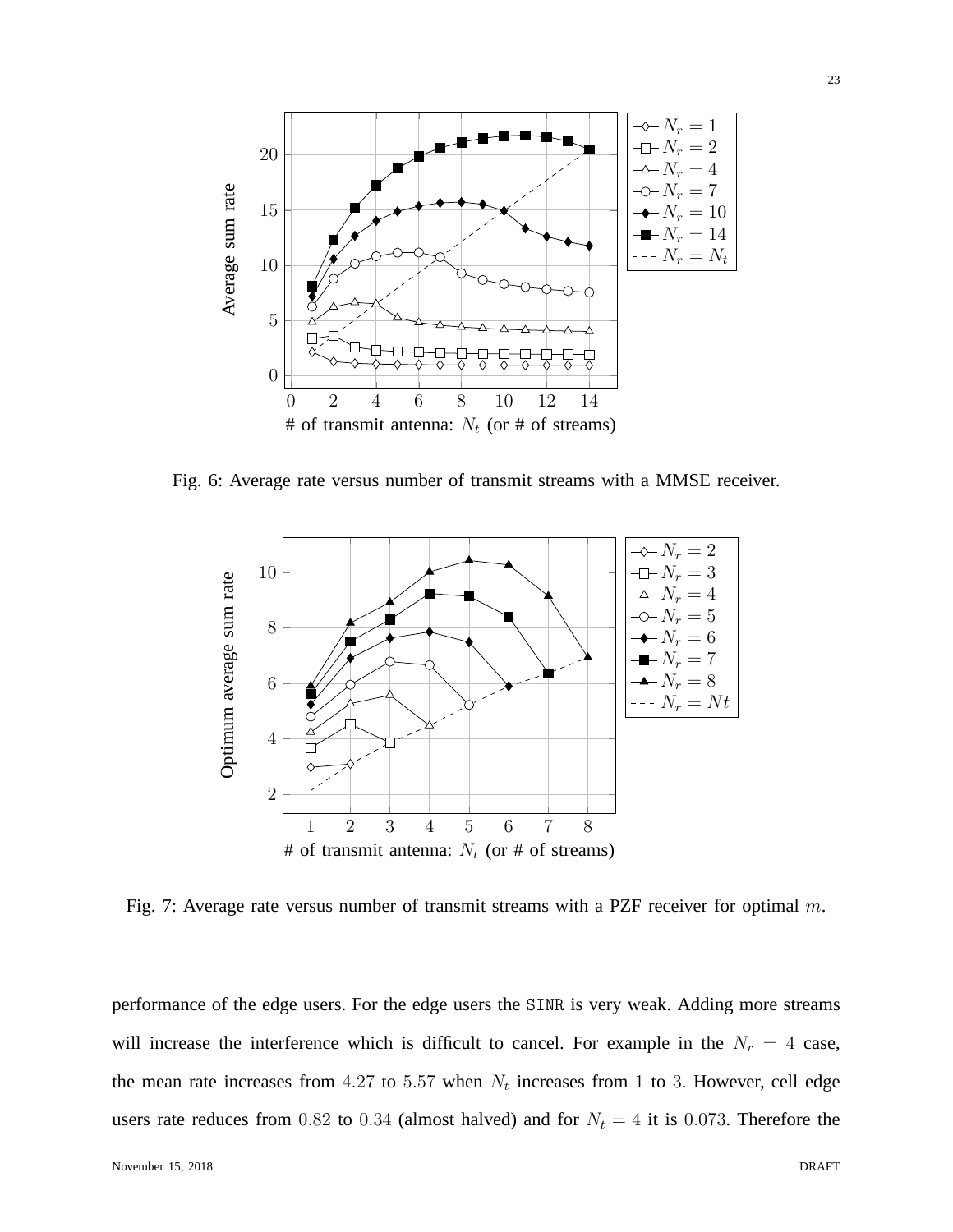

Fig. 6: Average rate versus number of transmit streams with a MMSE receiver.



Fig. 7: Average rate versus number of transmit streams with a PZF receiver for optimal m.

performance of the edge users. For the edge users the SINR is very weak. Adding more streams will increase the interference which is difficult to cancel. For example in the  $N_r = 4$  case, the mean rate increases from 4.27 to 5.57 when  $N_t$  increases from 1 to 3. However, cell edge users rate reduces from 0.82 to 0.34 (almost halved) and for  $N_t = 4$  it is 0.073. Therefore the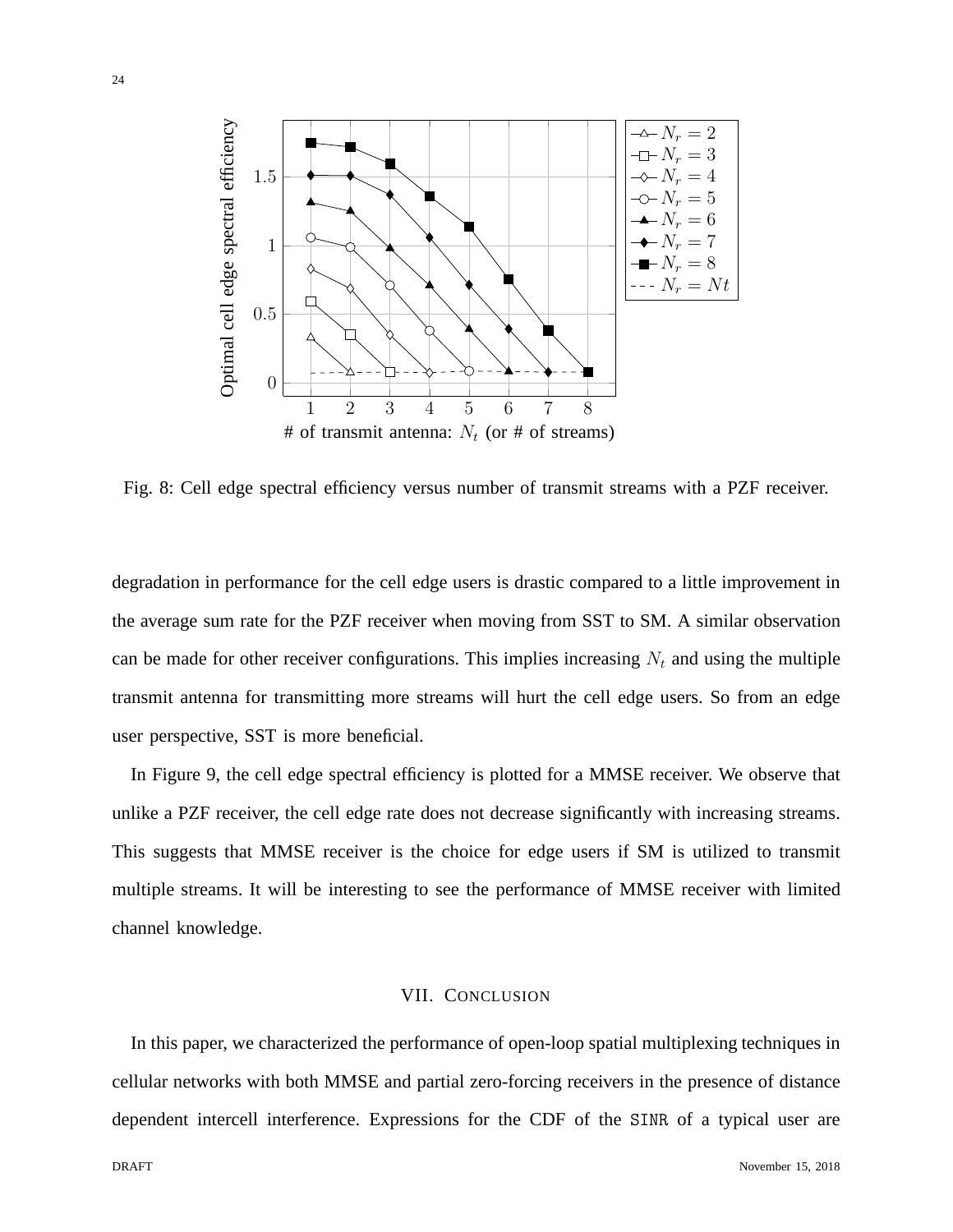

Fig. 8: Cell edge spectral efficiency versus number of transmit streams with a PZF receiver.

degradation in performance for the cell edge users is drastic compared to a little improvement in the average sum rate for the PZF receiver when moving from SST to SM. A similar observation can be made for other receiver configurations. This implies increasing  $N_t$  and using the multiple transmit antenna for transmitting more streams will hurt the cell edge users. So from an edge user perspective, SST is more beneficial.

In Figure 9, the cell edge spectral efficiency is plotted for a MMSE receiver. We observe that unlike a PZF receiver, the cell edge rate does not decrease significantly with increasing streams. This suggests that MMSE receiver is the choice for edge users if SM is utilized to transmit multiple streams. It will be interesting to see the performance of MMSE receiver with limited channel knowledge.

# VII. CONCLUSION

In this paper, we characterized the performance of open-loop spatial multiplexing techniques in cellular networks with both MMSE and partial zero-forcing receivers in the presence of distance dependent intercell interference. Expressions for the CDF of the SINR of a typical user are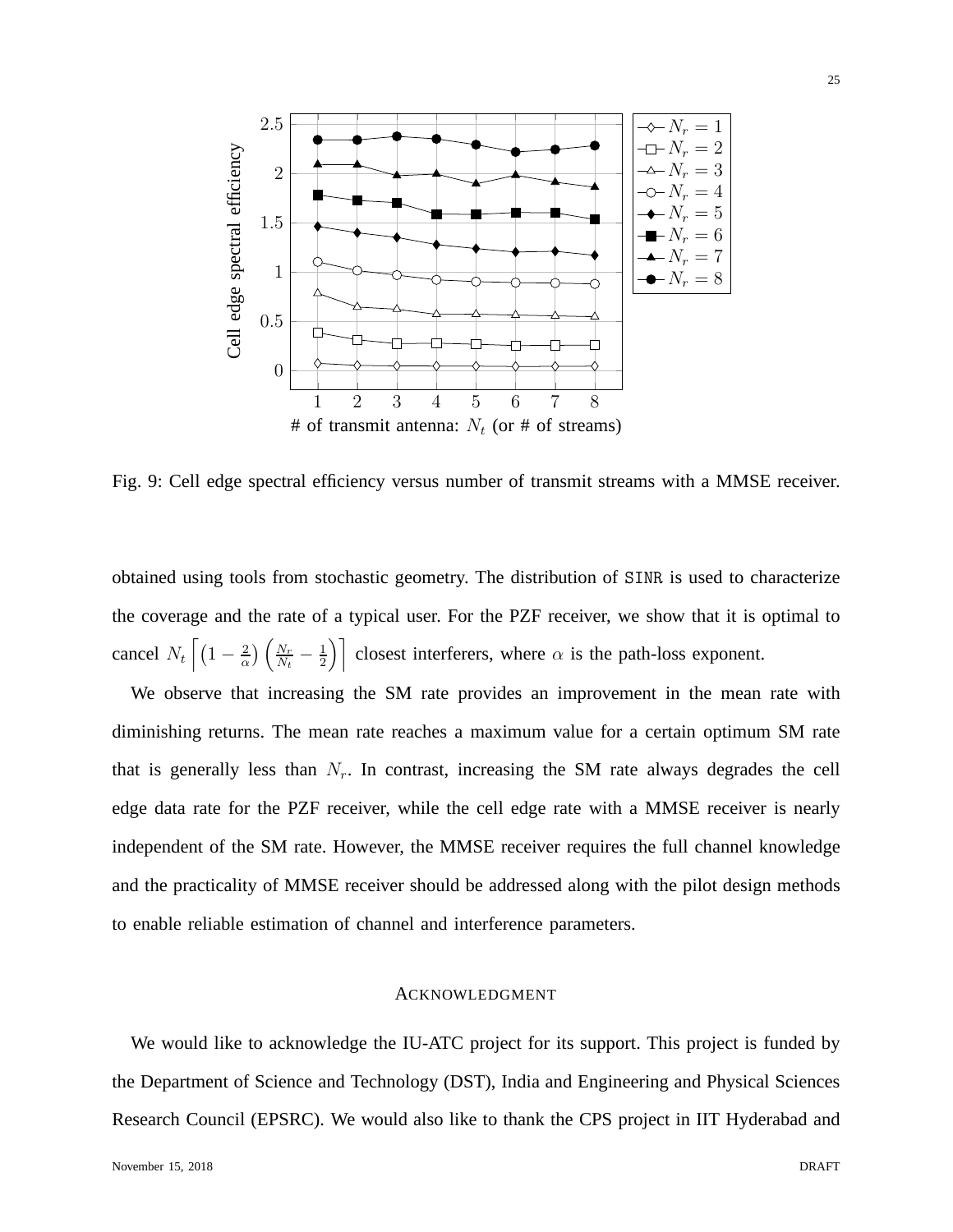

Fig. 9: Cell edge spectral efficiency versus number of transmit streams with a MMSE receiver.

obtained using tools from stochastic geometry. The distribution of SINR is used to characterize the coverage and the rate of a typical user. For the PZF receiver, we show that it is optimal to cancel  $N_t \left[ \left( 1 - \frac{2}{\alpha} \right)$  $\frac{2}{\alpha}$ )  $\left(\frac{N_r}{N_t}\right)$  $\frac{N_r}{N_t}-\frac{1}{2}$  $\left(\frac{1}{2}\right)$  closest interferers, where  $\alpha$  is the path-loss exponent.

We observe that increasing the SM rate provides an improvement in the mean rate with diminishing returns. The mean rate reaches a maximum value for a certain optimum SM rate that is generally less than  $N_r$ . In contrast, increasing the SM rate always degrades the cell edge data rate for the PZF receiver, while the cell edge rate with a MMSE receiver is nearly independent of the SM rate. However, the MMSE receiver requires the full channel knowledge and the practicality of MMSE receiver should be addressed along with the pilot design methods to enable reliable estimation of channel and interference parameters.

## ACKNOWLEDGMENT

We would like to acknowledge the IU-ATC project for its support. This project is funded by the Department of Science and Technology (DST), India and Engineering and Physical Sciences Research Council (EPSRC). We would also like to thank the CPS project in IIT Hyderabad and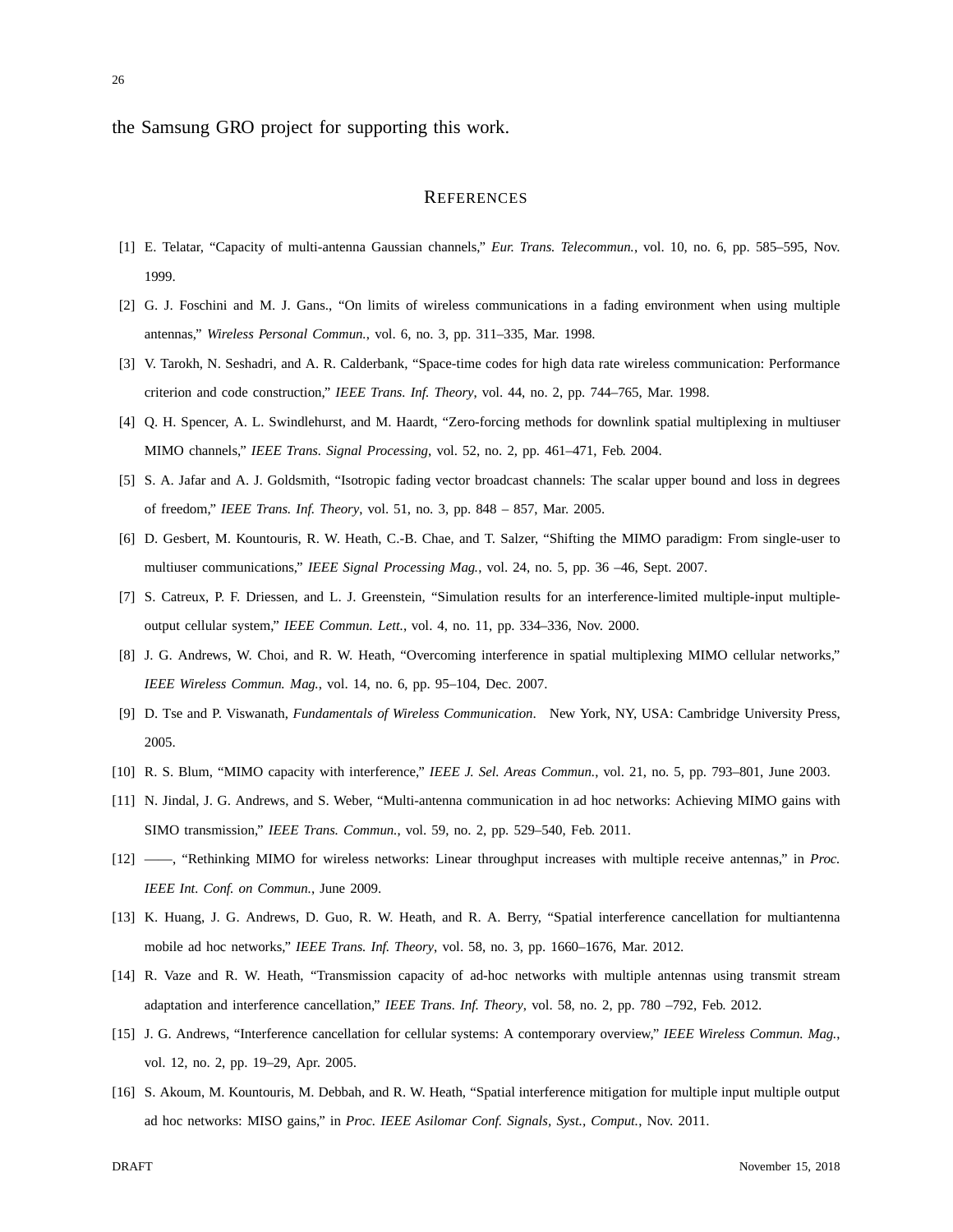the Samsung GRO project for supporting this work.

## **REFERENCES**

- [1] E. Telatar, "Capacity of multi-antenna Gaussian channels," *Eur. Trans. Telecommun.*, vol. 10, no. 6, pp. 585–595, Nov. 1999.
- [2] G. J. Foschini and M. J. Gans., "On limits of wireless communications in a fading environment when using multiple antennas," *Wireless Personal Commun.*, vol. 6, no. 3, pp. 311–335, Mar. 1998.
- [3] V. Tarokh, N. Seshadri, and A. R. Calderbank, "Space-time codes for high data rate wireless communication: Performance criterion and code construction," *IEEE Trans. Inf. Theory*, vol. 44, no. 2, pp. 744–765, Mar. 1998.
- [4] Q. H. Spencer, A. L. Swindlehurst, and M. Haardt, "Zero-forcing methods for downlink spatial multiplexing in multiuser MIMO channels," *IEEE Trans. Signal Processing*, vol. 52, no. 2, pp. 461–471, Feb. 2004.
- [5] S. A. Jafar and A. J. Goldsmith, "Isotropic fading vector broadcast channels: The scalar upper bound and loss in degrees of freedom," *IEEE Trans. Inf. Theory*, vol. 51, no. 3, pp. 848 – 857, Mar. 2005.
- [6] D. Gesbert, M. Kountouris, R. W. Heath, C.-B. Chae, and T. Salzer, "Shifting the MIMO paradigm: From single-user to multiuser communications," *IEEE Signal Processing Mag.*, vol. 24, no. 5, pp. 36 –46, Sept. 2007.
- [7] S. Catreux, P. F. Driessen, and L. J. Greenstein, "Simulation results for an interference-limited multiple-input multipleoutput cellular system," *IEEE Commun. Lett.*, vol. 4, no. 11, pp. 334–336, Nov. 2000.
- [8] J. G. Andrews, W. Choi, and R. W. Heath, "Overcoming interference in spatial multiplexing MIMO cellular networks," *IEEE Wireless Commun. Mag.*, vol. 14, no. 6, pp. 95–104, Dec. 2007.
- [9] D. Tse and P. Viswanath, *Fundamentals of Wireless Communication*. New York, NY, USA: Cambridge University Press, 2005.
- [10] R. S. Blum, "MIMO capacity with interference," *IEEE J. Sel. Areas Commun.*, vol. 21, no. 5, pp. 793–801, June 2003.
- [11] N. Jindal, J. G. Andrews, and S. Weber, "Multi-antenna communication in ad hoc networks: Achieving MIMO gains with SIMO transmission," *IEEE Trans. Commun.*, vol. 59, no. 2, pp. 529–540, Feb. 2011.
- [12] ——, "Rethinking MIMO for wireless networks: Linear throughput increases with multiple receive antennas," in *Proc. IEEE Int. Conf. on Commun.*, June 2009.
- [13] K. Huang, J. G. Andrews, D. Guo, R. W. Heath, and R. A. Berry, "Spatial interference cancellation for multiantenna mobile ad hoc networks," *IEEE Trans. Inf. Theory*, vol. 58, no. 3, pp. 1660–1676, Mar. 2012.
- [14] R. Vaze and R. W. Heath, "Transmission capacity of ad-hoc networks with multiple antennas using transmit stream adaptation and interference cancellation," *IEEE Trans. Inf. Theory*, vol. 58, no. 2, pp. 780 –792, Feb. 2012.
- [15] J. G. Andrews, "Interference cancellation for cellular systems: A contemporary overview," *IEEE Wireless Commun. Mag.*, vol. 12, no. 2, pp. 19–29, Apr. 2005.
- [16] S. Akoum, M. Kountouris, M. Debbah, and R. W. Heath, "Spatial interference mitigation for multiple input multiple output ad hoc networks: MISO gains," in *Proc. IEEE Asilomar Conf. Signals, Syst., Comput.*, Nov. 2011.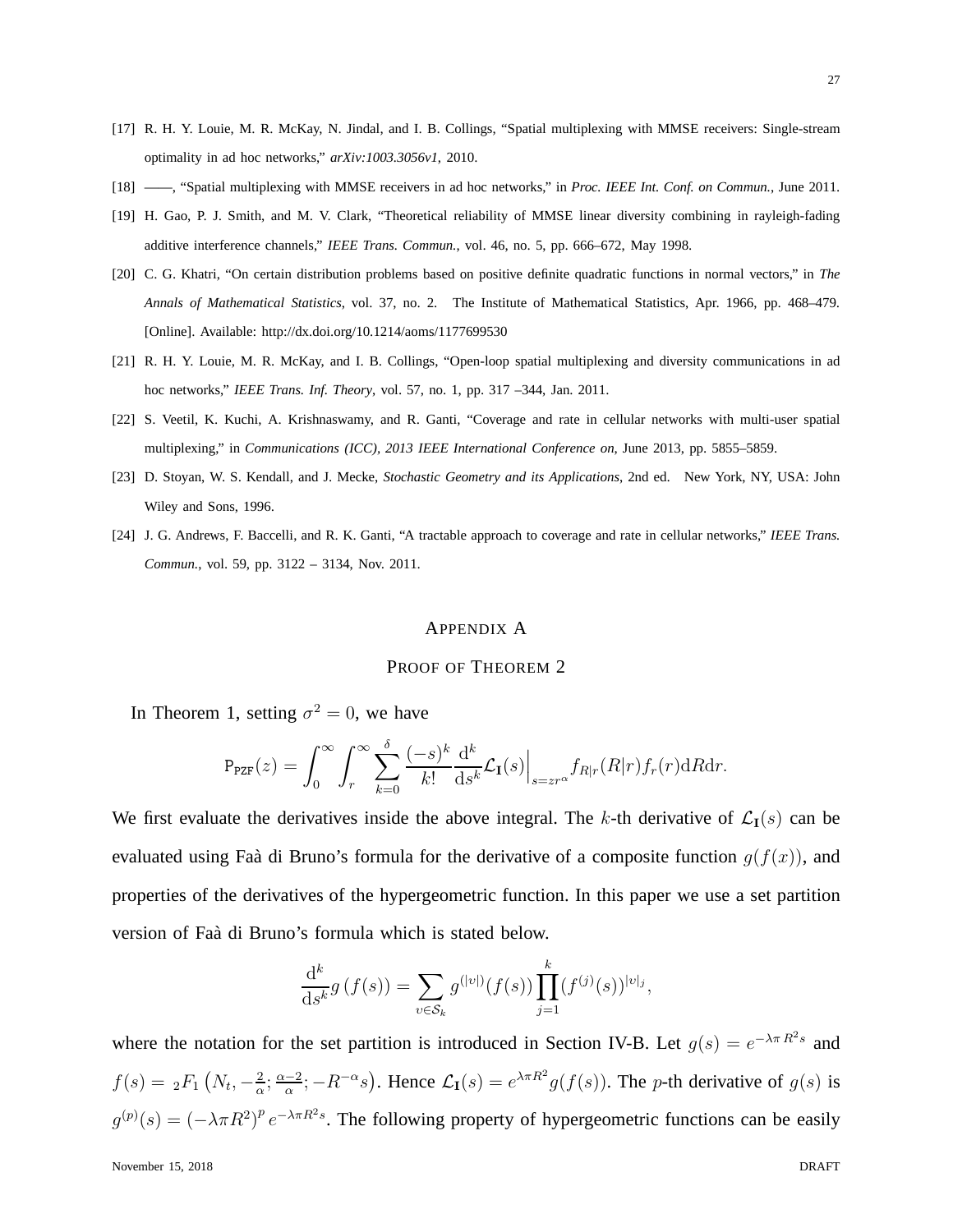- [17] R. H. Y. Louie, M. R. McKay, N. Jindal, and I. B. Collings, "Spatial multiplexing with MMSE receivers: Single-stream optimality in ad hoc networks," *arXiv:1003.3056v1*, 2010.
- [18] ——, "Spatial multiplexing with MMSE receivers in ad hoc networks," in *Proc. IEEE Int. Conf. on Commun.*, June 2011.
- [19] H. Gao, P. J. Smith, and M. V. Clark, "Theoretical reliability of MMSE linear diversity combining in rayleigh-fading additive interference channels," *IEEE Trans. Commun.*, vol. 46, no. 5, pp. 666–672, May 1998.
- [20] C. G. Khatri, "On certain distribution problems based on positive definite quadratic functions in normal vectors," in *The Annals of Mathematical Statistics*, vol. 37, no. 2. The Institute of Mathematical Statistics, Apr. 1966, pp. 468–479. [Online]. Available: http://dx.doi.org/10.1214/aoms/1177699530
- [21] R. H. Y. Louie, M. R. McKay, and I. B. Collings, "Open-loop spatial multiplexing and diversity communications in ad hoc networks," *IEEE Trans. Inf. Theory*, vol. 57, no. 1, pp. 317 –344, Jan. 2011.
- [22] S. Veetil, K. Kuchi, A. Krishnaswamy, and R. Ganti, "Coverage and rate in cellular networks with multi-user spatial multiplexing," in *Communications (ICC), 2013 IEEE International Conference on*, June 2013, pp. 5855–5859.
- [23] D. Stoyan, W. S. Kendall, and J. Mecke, *Stochastic Geometry and its Applications*, 2nd ed. New York, NY, USA: John Wiley and Sons, 1996.
- [24] J. G. Andrews, F. Baccelli, and R. K. Ganti, "A tractable approach to coverage and rate in cellular networks," *IEEE Trans. Commun.*, vol. 59, pp. 3122 – 3134, Nov. 2011.

#### APPENDIX A

## PROOF OF THEOREM 2

In Theorem 1, setting  $\sigma^2 = 0$ , we have

$$
\mathrm{P}_{\texttt{PZF}}(z) = \int_0^\infty \int_r^\infty \sum_{k=0}^\delta \frac{(-s)^k}{k!} \frac{\mathrm{d}^k}{\mathrm{d} s^k} \mathcal{L}_{\mathbf{I}}(s) \Big|_{s = zr^\alpha} f_{R|r}(R|r) f_r(r) \mathrm{d} R \mathrm{d} r.
$$

We first evaluate the derivatives inside the above integral. The k-th derivative of  $\mathcal{L}_{I}(s)$  can be evaluated using Faà di Bruno's formula for the derivative of a composite function  $g(f(x))$ , and properties of the derivatives of the hypergeometric function. In this paper we use a set partition version of Faà di Bruno's formula which is stated below.

$$
\frac{\mathrm{d}^k}{\mathrm{d}s^k} g\left(f(s)\right) = \sum_{v \in \mathcal{S}_k} g^{(|v|)}(f(s)) \prod_{j=1}^k (f^{(j)}(s))^{|v|_j},
$$

where the notation for the set partition is introduced in Section IV-B. Let  $g(s) = e^{-\lambda \pi R^2 s}$  and  $f(s) = {}_{2}F_{1} (N_{t}, -\frac{2}{\alpha})$  $\frac{2}{\alpha}$ ;  $\frac{\alpha-2}{\alpha}$ ;  $-R^{-\alpha}s$ ). Hence  $\mathcal{L}_{I}(s) = e^{\lambda \pi R^{2}} g(f(s))$ . The *p*-th derivative of  $g(s)$  is  $g^{(p)}(s) = (-\lambda \pi R^2)^p e^{-\lambda \pi R^2 s}$ . The following property of hypergeometric functions can be easily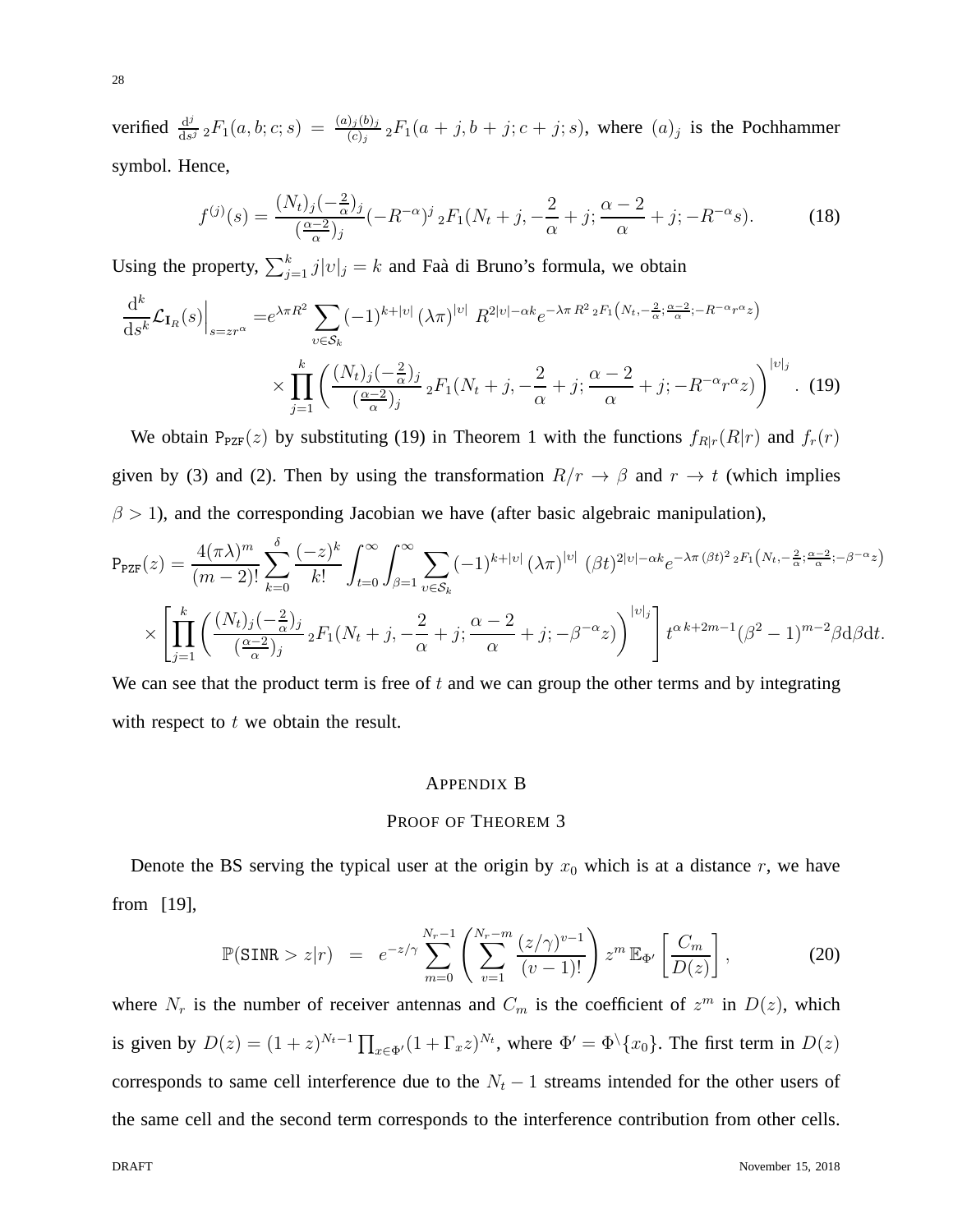verified  $\frac{d^j}{ds^j}$  $\frac{d^j}{ds^j} {}_2F_1(a,b;c;s) = \frac{(a)_j(b)_j}{(c)_j} {}_2F_1(a+j,b+j;c+j;s)$ , where  $(a)_j$  is the Pochhammer symbol. Hence,

$$
f^{(j)}(s) = \frac{(N_t)_j(-\frac{2}{\alpha})_j}{(\frac{\alpha-2}{\alpha})_j}(-R^{-\alpha})^j{}_2F_1(N_t+j, -\frac{2}{\alpha}+j; \frac{\alpha-2}{\alpha}+j; -R^{-\alpha}s). \tag{18}
$$

Using the property,  $\sum_{j=1}^{k} j|v|_{j} = k$  and Faà di Bruno's formula, we obtain

$$
\frac{\mathrm{d}^k}{\mathrm{d}s^k} \mathcal{L}_{\mathbf{I}_R}(s) \Big|_{s=zr^\alpha} = e^{\lambda \pi R^2} \sum_{v \in \mathcal{S}_k} (-1)^{k+|v|} (\lambda \pi)^{|v|} R^{2|v|-\alpha k} e^{-\lambda \pi R^2 \cdot 2F_1(N_t, -\frac{2}{\alpha}; \frac{\alpha-2}{\alpha}; -R^{-\alpha}r^{\alpha}z)} \times \prod_{j=1}^k \left( \frac{(N_t)_j(-\frac{2}{\alpha})_j}{(\frac{\alpha-2}{\alpha})_j} {}_2F_1(N_t+j, -\frac{2}{\alpha}+j; \frac{\alpha-2}{\alpha}+j; -R^{-\alpha}r^{\alpha}z) \right)^{|v|_j} . \tag{19}
$$

We obtain  $P_{PZF}(z)$  by substituting (19) in Theorem 1 with the functions  $f_{R|r}(R|r)$  and  $f_r(r)$ given by (3) and (2). Then by using the transformation  $R/r \to \beta$  and  $r \to t$  (which implies  $\beta$  > 1), and the corresponding Jacobian we have (after basic algebraic manipulation),

$$
P_{\text{PZF}}(z) = \frac{4(\pi\lambda)^m}{(m-2)!} \sum_{k=0}^{\delta} \frac{(-z)^k}{k!} \int_{t=0}^{\infty} \int_{\beta=1}^{\infty} \sum_{v \in S_k} (-1)^{k+|v|} (\lambda \pi)^{|v|} (\beta t)^{2|v| - \alpha k} e^{-\lambda \pi (\beta t)^2 2F_1(N_t, -\frac{2}{\alpha}; \frac{\alpha-2}{\alpha}; -\beta^{-\alpha} z)}
$$
  
 
$$
\times \left[ \prod_{j=1}^k \left( \frac{(N_t)_j (-\frac{2}{\alpha})_j}{(\frac{\alpha-2}{\alpha})_j} {}_2F_1(N_t + j, -\frac{2}{\alpha} + j; \frac{\alpha-2}{\alpha} + j; -\beta^{-\alpha} z) \right)^{|v|_j} \right] t^{\alpha k+2m-1} (\beta^2 - 1)^{m-2} \beta d\beta dt.
$$

We can see that the product term is free of  $t$  and we can group the other terms and by integrating with respect to  $t$  we obtain the result.

## APPENDIX B

## PROOF OF THEOREM 3

Denote the BS serving the typical user at the origin by  $x_0$  which is at a distance r, we have from [19],

$$
\mathbb{P}(\text{SINR} > z|r) = e^{-z/\gamma} \sum_{m=0}^{N_r - 1} \left( \sum_{v=1}^{N_r - m} \frac{(z/\gamma)^{v-1}}{(v-1)!} \right) z^m \mathbb{E}_{\Phi'} \left[ \frac{C_m}{D(z)} \right],
$$
 (20)

where  $N_r$  is the number of receiver antennas and  $C_m$  is the coefficient of  $z^m$  in  $D(z)$ , which is given by  $D(z) = (1+z)^{N_t-1} \prod_{x \in \Phi'} (1+\Gamma_x z)^{N_t}$ , where  $\Phi' = \Phi \setminus \{x_0\}$ . The first term in  $D(z)$ corresponds to same cell interference due to the  $N_t - 1$  streams intended for the other users of the same cell and the second term corresponds to the interference contribution from other cells.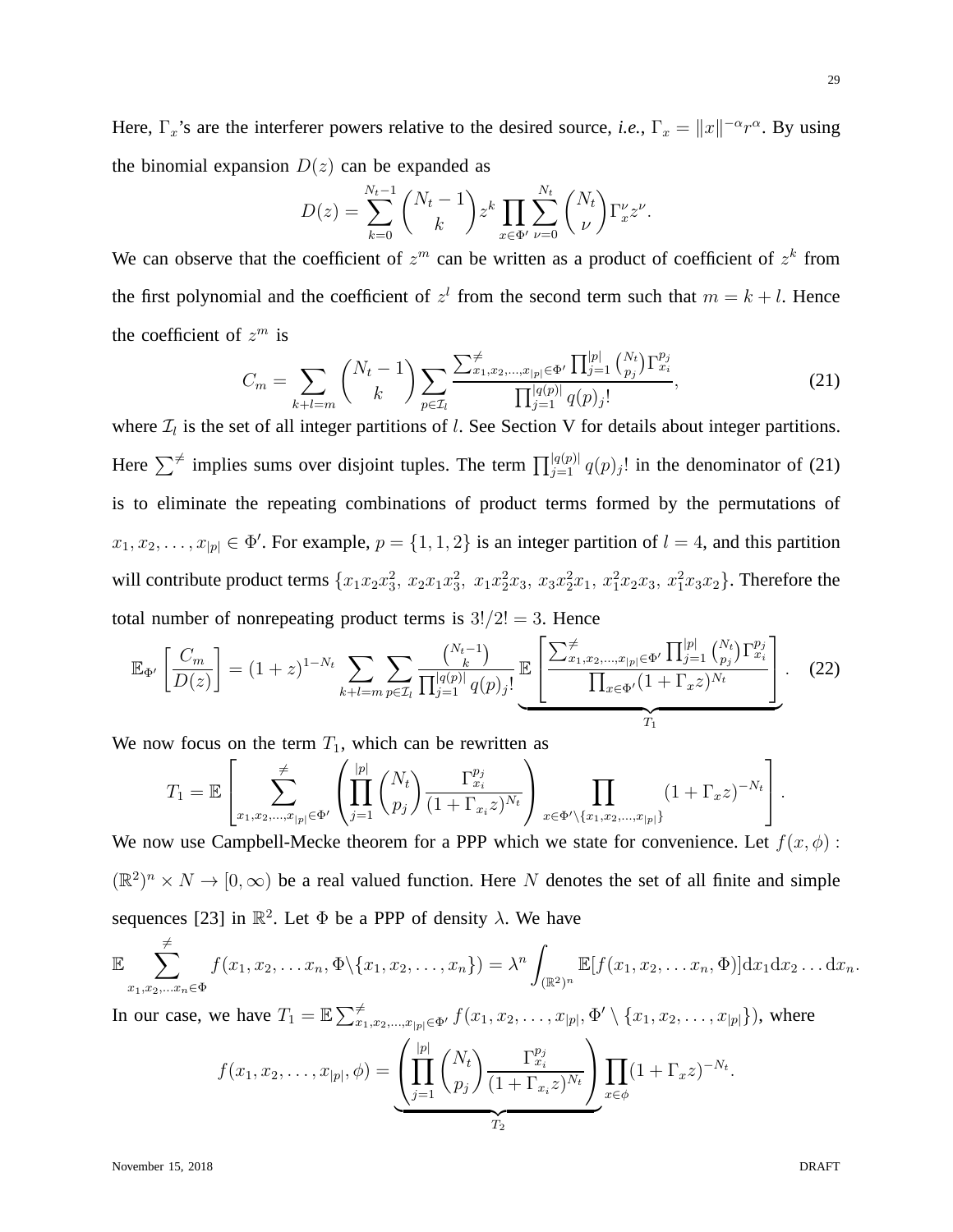Here,  $\Gamma_x$ 's are the interferer powers relative to the desired source, *i.e.*,  $\Gamma_x = ||x||^{-\alpha}r^{\alpha}$ . By using the binomial expansion  $D(z)$  can be expanded as

$$
D(z) = \sum_{k=0}^{N_t-1} {N_t-1 \choose k} z^k \prod_{x \in \Phi'} \sum_{\nu=0}^{N_t} {N_t \choose \nu} \Gamma_x^{\nu} z^{\nu}.
$$

We can observe that the coefficient of  $z^m$  can be written as a product of coefficient of  $z^k$  from the first polynomial and the coefficient of  $z<sup>l</sup>$  from the second term such that  $m = k + l$ . Hence the coefficient of  $z^m$  is

$$
C_m = \sum_{k+l=m} \binom{N_t-1}{k} \sum_{p \in \mathcal{I}_l} \frac{\sum_{x_1, x_2, \dots, x_{|p|} \in \Phi'} \prod_{j=1}^{|p|} \binom{N_t}{p_j} \Gamma_{x_i}^{p_j}}{\prod_{j=1}^{|q(p)|} q(p)_j!},\tag{21}
$$

where  $\mathcal{I}_l$  is the set of all integer partitions of *l*. See Section V for details about integer partitions. Here  $\sum^{\neq}$  implies sums over disjoint tuples. The term  $\prod_{j=1}^{|q(p)|} q(p)_j!$  in the denominator of (21) is to eliminate the repeating combinations of product terms formed by the permutations of  $x_1, x_2, \ldots, x_{|p|} \in \Phi'$ . For example,  $p = \{1, 1, 2\}$  is an integer partition of  $l = 4$ , and this partition will contribute product terms  $\{x_1x_2x_3^2, x_2x_1x_3^2, x_1x_2^2x_3, x_3x_2^2x_1, x_1^2x_2x_3, x_1^2x_3x_2\}$ . Therefore the total number of nonrepeating product terms is  $3!/2! = 3$ . Hence

$$
\mathbb{E}_{\Phi'}\left[\frac{C_m}{D(z)}\right] = (1+z)^{1-N_t} \sum_{k+l=m} \sum_{p \in \mathcal{I}_l} \frac{\binom{N_t-1}{k}}{\prod_{j=1}^{|q(p)|} q(p)_j!} \mathbb{E}\left[\frac{\sum_{x_1,x_2,\dots,x_{|p|} \in \Phi'} \prod_{j=1}^{|p|} \binom{N_t}{p_j} \Gamma_{x_i}^{p_j}}{\prod_{x \in \Phi'} (1+\Gamma_x z)^{N_t}}\right].
$$
 (22)

We now focus on the term  $T_1$ , which can be rewritten as

$$
T_1 = \mathbb{E}\left[\sum_{x_1, x_2, \dots, x_{|p|} \in \Phi'} \left( \prod_{j=1}^{|p|} {N_t \choose p_j} \frac{\Gamma_{x_i}^{p_j}}{(1 + \Gamma_{x_i} z)^{N_t}} \right) \prod_{x \in \Phi' \setminus \{x_1, x_2, \dots, x_{|p|}\}} (1 + \Gamma_x z)^{-N_t} \right].
$$
  
where *Comphally* leads to theorem for a DDP which we state for a convenience. Let f

We now use Campbell-Mecke theorem for a PPP which we state for convenience. Let  $f(x, \phi)$ :  $(\mathbb{R}^2)^n \times N \to [0, \infty)$  be a real valued function. Here N denotes the set of all finite and simple sequences [23] in  $\mathbb{R}^2$ . Let  $\Phi$  be a PPP of density  $\lambda$ . We have

$$
\mathbb{E}\sum_{x_1,x_2,...x_n\in\Phi}^{\neq}f(x_1,x_2,...x_n,\Phi\setminus\{x_1,x_2,...,x_n\})=\lambda^n\int_{(\mathbb{R}^2)^n}\mathbb{E}[f(x_1,x_2,...x_n,\Phi)]\mathrm{d}x_1\mathrm{d}x_2...d x_n.
$$

In our case, we have  $T_1 = \mathbb{E} \sum_{x_1, x_2, ..., x_{|p|} \in \Phi'}^{\neq} f(x_1, x_2, ..., x_{|p|}, \Phi' \setminus \{x_1, x_2, ..., x_{|p|}\})$ , where

$$
f(x_1, x_2, \dots, x_{|p|}, \phi) = \underbrace{\left(\prod_{j=1}^{|p|} \binom{N_t}{p_j} \frac{\Gamma_{x_i}^{p_j}}{(1 + \Gamma_{x_i} z)^{N_t}}\right)}_{T_2} \prod_{x \in \phi} (1 + \Gamma_x z)^{-N_t}
$$

.